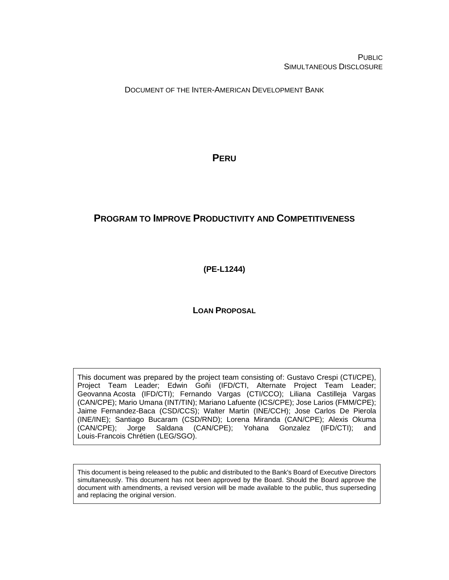**PUBLIC** SIMULTANEOUS DISCLOSURE

DOCUMENT OF THE INTER-AMERICAN DEVELOPMENT BANK

**PERU**

# **PROGRAM TO IMPROVE PRODUCTIVITY AND COMPETITIVENESS**

**(PE-L1244)**

**LOAN PROPOSAL**

This document was prepared by the project team consisting of: Gustavo Crespi (CTI/CPE), Project Team Leader; Edwin Goñi (IFD/CTI, Alternate Project Team Leader; Geovanna Acosta (IFD/CTI); Fernando Vargas (CTI/CCO); Liliana Castilleja Vargas (CAN/CPE); Mario Umana (INT/TIN); Mariano Lafuente (ICS/CPE); Jose Larios (FMM/CPE); Jaime Fernandez-Baca (CSD/CCS); Walter Martin (INE/CCH); Jose Carlos De Pierola (INE/INE); Santiago Bucaram (CSD/RND); Lorena Miranda (CAN/CPE); Alexis Okuma (CAN/CPE); Jorge Saldana (CAN/CPE); Yohana Gonzalez (IFD/CTI); and Louis-Francois Chrétien (LEG/SGO).

This document is being released to the public and distributed to the Bank's Board of Executive Directors simultaneously. This document has not been approved by the Board. Should the Board approve the document with amendments, a revised version will be made available to the public, thus superseding and replacing the original version.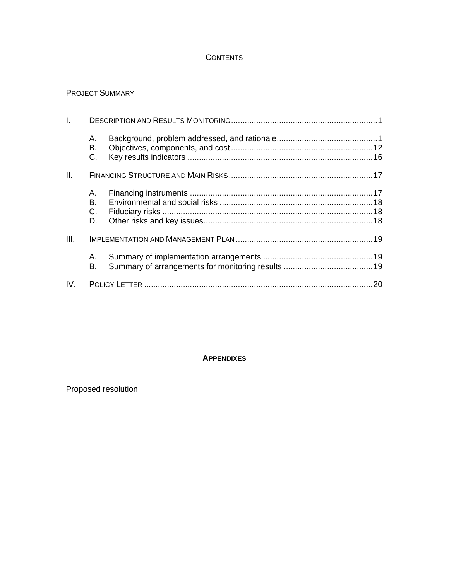## **CONTENTS**

### PROJECT SUMMARY

| $\mathsf{L}$ |                      |  |
|--------------|----------------------|--|
|              | А.<br>В.<br>C.       |  |
| II.          |                      |  |
|              | А.<br>В.<br>C.<br>D. |  |
| III.         |                      |  |
|              | А.<br>В.             |  |
| IV.          |                      |  |

## **APPENDIXES**

# Proposed resolution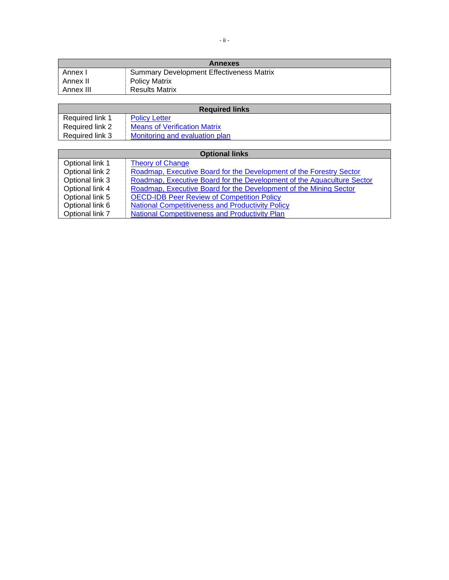| <b>Annexes</b> |                                                 |  |  |  |
|----------------|-------------------------------------------------|--|--|--|
| Annex I        | <b>Summary Development Effectiveness Matrix</b> |  |  |  |
| Annex II       | <b>Policy Matrix</b>                            |  |  |  |
| Annex III      | <b>Results Matrix</b>                           |  |  |  |

| <b>Required links</b> |                                     |  |  |  |
|-----------------------|-------------------------------------|--|--|--|
| Required link 1       | <b>Policy Letter</b>                |  |  |  |
| Required link 2       | <b>Means of Verification Matrix</b> |  |  |  |
| Required link 3       | Monitoring and evaluation plan      |  |  |  |

| <b>Optional links</b> |                                                                        |  |  |
|-----------------------|------------------------------------------------------------------------|--|--|
| Optional link 1       | <b>Theory of Change</b>                                                |  |  |
| Optional link 2       | Roadmap, Executive Board for the Development of the Forestry Sector    |  |  |
| Optional link 3       | Roadmap, Executive Board for the Development of the Aquaculture Sector |  |  |
| Optional link 4       | Roadmap, Executive Board for the Development of the Mining Sector      |  |  |
| Optional link 5       | <b>OECD-IDB Peer Review of Competition Policy</b>                      |  |  |
| Optional link 6       | <b>National Competitiveness and Productivity Policy</b>                |  |  |
| Optional link 7       | <b>National Competitiveness and Productivity Plan</b>                  |  |  |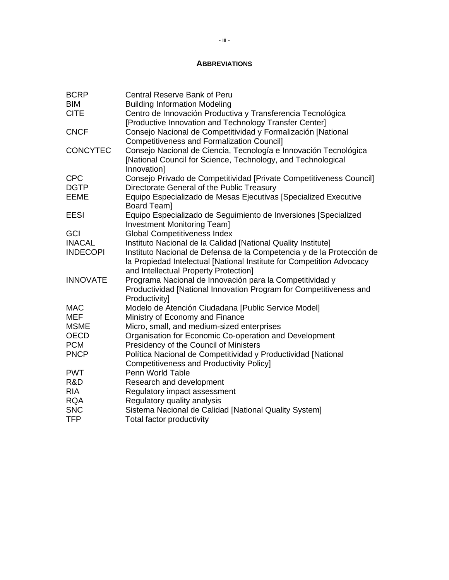### **ABBREVIATIONS**

| <b>BCRP</b>     | <b>Central Reserve Bank of Peru</b>                                                                                                                                                     |
|-----------------|-----------------------------------------------------------------------------------------------------------------------------------------------------------------------------------------|
| <b>BIM</b>      | <b>Building Information Modeling</b>                                                                                                                                                    |
| <b>CITE</b>     | Centro de Innovación Productiva y Transferencia Tecnológica                                                                                                                             |
|                 | [Productive Innovation and Technology Transfer Center]                                                                                                                                  |
| <b>CNCF</b>     | Consejo Nacional de Competitividad y Formalización [National<br><b>Competitiveness and Formalization Council]</b>                                                                       |
| <b>CONCYTEC</b> | Consejo Nacional de Ciencia, Tecnología e Innovación Tecnológica<br>[National Council for Science, Technology, and Technological<br>Innovation]                                         |
| <b>CPC</b>      | Consejo Privado de Competitividad [Private Competitiveness Council]                                                                                                                     |
| <b>DGTP</b>     | Directorate General of the Public Treasury                                                                                                                                              |
| <b>EEME</b>     | Equipo Especializado de Mesas Ejecutivas [Specialized Executive<br>Board Team]                                                                                                          |
| <b>EESI</b>     | Equipo Especializado de Seguimiento de Inversiones [Specialized<br><b>Investment Monitoring Team]</b>                                                                                   |
| GCI             | <b>Global Competitiveness Index</b>                                                                                                                                                     |
| <b>INACAL</b>   | Instituto Nacional de la Calidad [National Quality Institute]                                                                                                                           |
| <b>INDECOPI</b> | Instituto Nacional de Defensa de la Competencia y de la Protección de<br>la Propiedad Intelectual [National Institute for Competition Advocacy<br>and Intellectual Property Protection] |
| <b>INNOVATE</b> | Programa Nacional de Innovación para la Competitividad y<br>Productividad [National Innovation Program for Competitiveness and<br>Productivity]                                         |
| <b>MAC</b>      | Modelo de Atención Ciudadana [Public Service Model]                                                                                                                                     |
| <b>MEF</b>      | Ministry of Economy and Finance                                                                                                                                                         |
| <b>MSME</b>     | Micro, small, and medium-sized enterprises                                                                                                                                              |
| <b>OECD</b>     | Organisation for Economic Co-operation and Development                                                                                                                                  |
| <b>PCM</b>      | Presidency of the Council of Ministers                                                                                                                                                  |
| <b>PNCP</b>     | Política Nacional de Competitividad y Productividad [National<br><b>Competitiveness and Productivity Policy]</b>                                                                        |
| <b>PWT</b>      | Penn World Table                                                                                                                                                                        |
| R&D             | Research and development                                                                                                                                                                |
| <b>RIA</b>      | Regulatory impact assessment                                                                                                                                                            |
| <b>RQA</b>      | Regulatory quality analysis                                                                                                                                                             |
| <b>SNC</b>      | Sistema Nacional de Calidad [National Quality System]                                                                                                                                   |
| <b>TFP</b>      | Total factor productivity                                                                                                                                                               |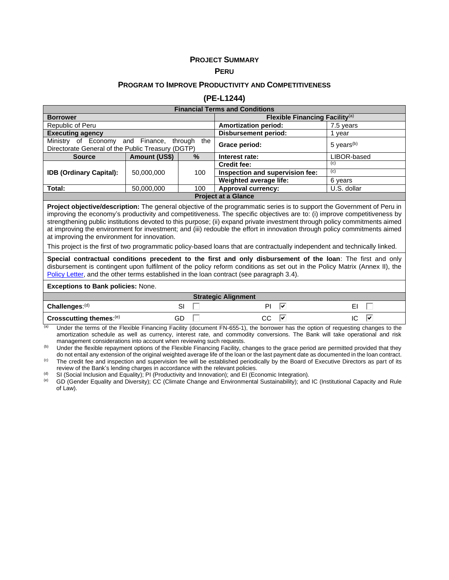#### **PROJECT SUMMARY**

#### **PERU**

#### **PROGRAM TO IMPROVE PRODUCTIVITY AND COMPETITIVENESS**

#### **(PE-L1244)**

| <b>Financial Terms and Conditions</b>                                                                   |            |                    |                                            |                          |  |
|---------------------------------------------------------------------------------------------------------|------------|--------------------|--------------------------------------------|--------------------------|--|
| <b>Borrower</b>                                                                                         |            |                    | Flexible Financing Facility <sup>(a)</sup> |                          |  |
| Republic of Peru                                                                                        |            |                    | <b>Amortization period:</b>                | 7.5 years                |  |
| <b>Executing agency</b>                                                                                 |            |                    | <b>Disbursement period:</b>                | vear                     |  |
| Ministry of Economy and Finance,<br>through<br>the<br>Directorate General of the Public Treasury (DGTP) |            |                    | Grace period:                              | $5$ years <sup>(b)</sup> |  |
| $\%$<br>Amount (US\$)<br><b>Source</b>                                                                  |            | Interest rate:     | LIBOR-based                                |                          |  |
|                                                                                                         |            |                    | <b>Credit fee:</b>                         | (C)                      |  |
| <b>IDB (Ordinary Capital):</b>                                                                          | 50,000,000 | 100                | Inspection and supervision fee:            | (c)                      |  |
|                                                                                                         |            |                    | Weighted average life:                     | 6 years                  |  |
| Total:<br>50,000,000<br>100                                                                             |            | Approval currency: | U.S. dollar                                |                          |  |
| <b>Project at a Glance</b>                                                                              |            |                    |                                            |                          |  |

**Project objective/description:** The general objective of the programmatic series is to support the Government of Peru in improving the economy's productivity and competitiveness. The specific objectives are to: (i) improve competitiveness by strengthening public institutions devoted to this purpose; (ii) expand private investment through policy commitments aimed at improving the environment for investment; and (iii) redouble the effort in innovation through policy commitments aimed at improving the environment for innovation.

This project is the first of two programmatic policy-based loans that are contractually independent and technically linked.

**Special contractual conditions precedent to the first and only disbursement of the loan**: The first and only disbursement is contingent upon fulfilment of the policy reform conditions as set out in the Policy Matrix (Annex II), the [Policy Letter,](https://idbg.sharepoint.com/teams/ez-SEC/Registered%20Documents/RI-Reg-PR/RIRegPREnglish/Policy%20Letter%20PE-L1244.pdf) and the other terms established in the loan contract (see paragraph 3.4).

#### **Exceptions to Bank policies:** None.

| <b>Strategic Alignment</b> |         |          |    |  |  |
|----------------------------|---------|----------|----|--|--|
| Challenges: $(d)$          | ິ<br>ات |          | -  |  |  |
| Crosscutting themes: (e)   | GD      | ~~<br>ىى | lv |  |  |

 $\overline{a}$  Under the terms of the Flexible Financing Facility (document FN-655-1), the borrower has the option of requesting changes to the amortization schedule as well as currency, interest rate, and commodity conversions. The Bank will take operational and risk management considerations into account when reviewing such requests.

<sup>(b)</sup> Under the flexible repayment options of the Flexible Financing Facility, changes to the grace period are permitted provided that they do not entail any extension of the original weighted average life of the loan or the last payment date as documented in the loan contract. <sup>(c)</sup> The credit fee and inspection and supervision fee will be established periodically by the Board of Executive Directors as part of its review of the Bank's lending charges in accordance with the relevant policies.

(d) SI (Social Inclusion and Equality); PI (Productivity and Innovation); and EI (Economic Integration).<br>(e) GD (Gender Equality and Diversity): CC (Climate Change and Environmental Sustainability); and

GD (Gender Equality and Diversity); CC (Climate Change and Environmental Sustainability); and IC (Institutional Capacity and Rule of Law).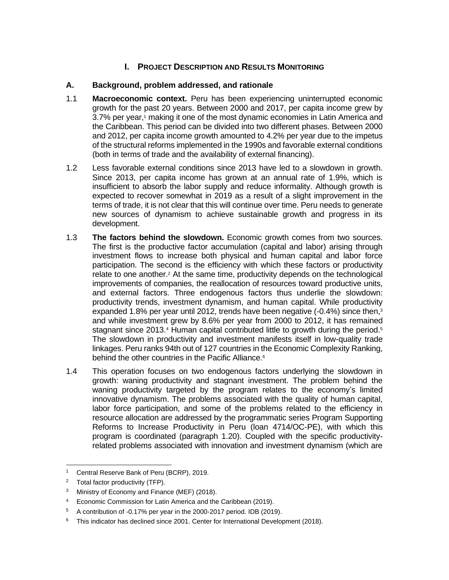# **I. PROJECT DESCRIPTION AND RESULTS MONITORING**

## **A. Background, problem addressed, and rationale**

- 1.1 **Macroeconomic context.** Peru has been experiencing uninterrupted economic growth for the past 20 years. Between 2000 and 2017, per capita income grew by 3.7% per year,<sup>1</sup> making it one of the most dynamic economies in Latin America and the Caribbean. This period can be divided into two different phases. Between 2000 and 2012, per capita income growth amounted to 4.2% per year due to the impetus of the structural reforms implemented in the 1990s and favorable external conditions (both in terms of trade and the availability of external financing).
- 1.2 Less favorable external conditions since 2013 have led to a slowdown in growth. Since 2013, per capita income has grown at an annual rate of 1.9%, which is insufficient to absorb the labor supply and reduce informality. Although growth is expected to recover somewhat in 2019 as a result of a slight improvement in the terms of trade, it is not clear that this will continue over time. Peru needs to generate new sources of dynamism to achieve sustainable growth and progress in its development.
- 1.3 **The factors behind the slowdown.** Economic growth comes from two sources. The first is the productive factor accumulation (capital and labor) arising through investment flows to increase both physical and human capital and labor force participation. The second is the efficiency with which these factors or productivity relate to one another.<sup>2</sup> At the same time, productivity depends on the technological improvements of companies, the reallocation of resources toward productive units, and external factors. Three endogenous factors thus underlie the slowdown: productivity trends, investment dynamism, and human capital. While productivity expanded 1.8% per year until 2012, trends have been negative  $(-0.4%)$  since then, $3$ and while investment grew by 8.6% per year from 2000 to 2012, it has remained stagnant since 2013.<sup>4</sup> Human capital contributed little to growth during the period.<sup>5</sup> The slowdown in productivity and investment manifests itself in low-quality trade linkages. Peru ranks 94th out of 127 countries in the Economic Complexity Ranking, behind the other countries in the Pacific Alliance.<sup>6</sup>
- 1.4 This operation focuses on two endogenous factors underlying the slowdown in growth: waning productivity and stagnant investment. The problem behind the waning productivity targeted by the program relates to the economy's limited innovative dynamism. The problems associated with the quality of human capital, labor force participation, and some of the problems related to the efficiency in resource allocation are addressed by the programmatic series Program Supporting Reforms to Increase Productivity in Peru (loan 4714/OC-PE), with which this program is coordinated (paragraph 1.20). Coupled with the specific productivityrelated problems associated with innovation and investment dynamism (which are

<sup>&</sup>lt;sup>1</sup> Central Reserve Bank of Peru (BCRP), 2019.

<sup>&</sup>lt;sup>2</sup> Total factor productivity (TFP).

<sup>&</sup>lt;sup>3</sup> Ministry of Economy and Finance (MEF) (2018).

<sup>4</sup> Economic Commission for Latin America and the Caribbean (2019).

<sup>5</sup> A contribution of -0.17% per year in the 2000-2017 period. IDB (2019).

 $6$  This indicator has declined since 2001. Center for International Development (2018).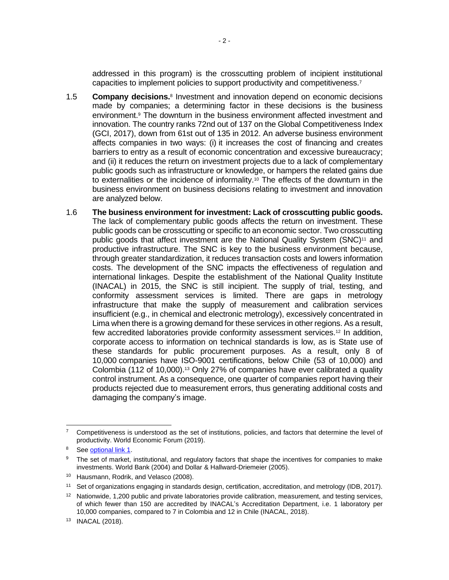addressed in this program) is the crosscutting problem of incipient institutional capacities to implement policies to support productivity and competitiveness.<sup>7</sup>

- 1.5 **Company decisions.**<sup>8</sup> Investment and innovation depend on economic decisions made by companies; a determining factor in these decisions is the business environment.<sup>9</sup> The downturn in the business environment affected investment and innovation. The country ranks 72nd out of 137 on the Global Competitiveness Index (GCI, 2017), down from 61st out of 135 in 2012. An adverse business environment affects companies in two ways: (i) it increases the cost of financing and creates barriers to entry as a result of economic concentration and excessive bureaucracy; and (ii) it reduces the return on investment projects due to a lack of complementary public goods such as infrastructure or knowledge, or hampers the related gains due to externalities or the incidence of informality.<sup>10</sup> The effects of the downturn in the business environment on business decisions relating to investment and innovation are analyzed below.
- 1.6 **The business environment for investment: Lack of crosscutting public goods.**  The lack of complementary public goods affects the return on investment. These public goods can be crosscutting or specific to an economic sector. Two crosscutting public goods that affect investment are the National Quality System (SNC)<sup>11</sup> and productive infrastructure. The SNC is key to the business environment because, through greater standardization, it reduces transaction costs and lowers information costs. The development of the SNC impacts the effectiveness of regulation and international linkages. Despite the establishment of the National Quality Institute (INACAL) in 2015, the SNC is still incipient. The supply of trial, testing, and conformity assessment services is limited. There are gaps in metrology infrastructure that make the supply of measurement and calibration services insufficient (e.g., in chemical and electronic metrology), excessively concentrated in Lima when there is a growing demand for these services in other regions. As a result, few accredited laboratories provide conformity assessment services.<sup>12</sup> In addition, corporate access to information on technical standards is low, as is State use of these standards for public procurement purposes. As a result, only 8 of 10,000 companies have ISO-9001 certifications, below Chile (53 of 10,000) and Colombia (112 of 10,000).<sup>13</sup> Only 27% of companies have ever calibrated a quality control instrument. As a consequence, one quarter of companies report having their products rejected due to measurement errors, thus generating additional costs and damaging the company's image.

<sup>7</sup> Competitiveness is understood as the set of institutions, policies, and factors that determine the level of productivity. World Economic Forum (2019).

<sup>&</sup>lt;sup>8</sup> See [optional link 1.](http://idbdocs.iadb.org/wsdocs/getdocument.aspx?docnum=EZSHARE-1166265003-3)

The set of market, institutional, and regulatory factors that shape the incentives for companies to make investments. World Bank (2004) and Dollar & Hallward-Driemeier (2005).

<sup>10</sup> Hausmann, Rodrik, and Velasco (2008).

<sup>11</sup> Set of organizations engaging in standards design, certification, accreditation, and metrology (IDB, 2017).

 $12$  Nationwide, 1,200 public and private laboratories provide calibration, measurement, and testing services, of which fewer than 150 are accredited by INACAL's Accreditation Department, i.e. 1 laboratory per 10,000 companies, compared to 7 in Colombia and 12 in Chile (INACAL, 2018).

<sup>13</sup> INACAL (2018).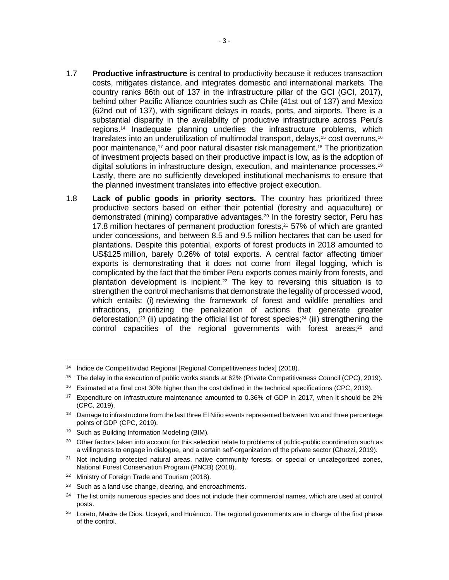- 1.7 **Productive infrastructure** is central to productivity because it reduces transaction costs, mitigates distance, and integrates domestic and international markets. The country ranks 86th out of 137 in the infrastructure pillar of the GCI (GCI, 2017), behind other Pacific Alliance countries such as Chile (41st out of 137) and Mexico (62nd out of 137), with significant delays in roads, ports, and airports. There is a substantial disparity in the availability of productive infrastructure across Peru's regions.<sup>14</sup> Inadequate planning underlies the infrastructure problems, which translates into an underutilization of multimodal transport, delays,<sup>15</sup> cost overruns,<sup>16</sup> poor maintenance,<sup>17</sup> and poor natural disaster risk management.<sup>18</sup> The prioritization of investment projects based on their productive impact is low, as is the adoption of digital solutions in infrastructure design, execution, and maintenance processes.<sup>19</sup> Lastly, there are no sufficiently developed institutional mechanisms to ensure that the planned investment translates into effective project execution.
- 1.8 **Lack of public goods in priority sectors.** The country has prioritized three productive sectors based on either their potential (forestry and aquaculture) or demonstrated (mining) comparative advantages.<sup>20</sup> In the forestry sector, Peru has 17.8 million hectares of permanent production forests, <sup>21</sup> 57% of which are granted under concessions, and between 8.5 and 9.5 million hectares that can be used for plantations. Despite this potential, exports of forest products in 2018 amounted to US\$125 million, barely 0.26% of total exports. A central factor affecting timber exports is demonstrating that it does not come from illegal logging, which is complicated by the fact that the timber Peru exports comes mainly from forests, and plantation development is incipient.<sup>22</sup> The key to reversing this situation is to strengthen the control mechanisms that demonstrate the legality of processed wood, which entails: (i) reviewing the framework of forest and wildlife penalties and infractions, prioritizing the penalization of actions that generate greater deforestation;<sup>23</sup> (ii) updating the official list of forest species;<sup>24</sup> (iii) strengthening the control capacities of the regional governments with forest areas;<sup>25</sup> and

<sup>14</sup> Índice de Competitividad Regional [Regional Competitiveness Index] (2018).

<sup>&</sup>lt;sup>15</sup> The delay in the execution of public works stands at 62% (Private Competitiveness Council (CPC), 2019).

<sup>16</sup> Estimated at a final cost 30% higher than the cost defined in the technical specifications (CPC, 2019).

<sup>&</sup>lt;sup>17</sup> Expenditure on infrastructure maintenance amounted to 0.36% of GDP in 2017, when it should be 2% (CPC, 2019).

<sup>&</sup>lt;sup>18</sup> Damage to infrastructure from the last three El Niño events represented between two and three percentage points of GDP (CPC, 2019).

<sup>&</sup>lt;sup>19</sup> Such as Building Information Modeling (BIM).

<sup>&</sup>lt;sup>20</sup> Other factors taken into account for this selection relate to problems of public-public coordination such as a willingness to engage in dialogue, and a certain self-organization of the private sector (Ghezzi, 2019).

<sup>&</sup>lt;sup>21</sup> Not including protected natural areas, native community forests, or special or uncategorized zones, National Forest Conservation Program (PNCB) (2018).

<sup>&</sup>lt;sup>22</sup> Ministry of Foreign Trade and Tourism (2018).

 $23$  Such as a land use change, clearing, and encroachments.

<sup>&</sup>lt;sup>24</sup> The list omits numerous species and does not include their commercial names, which are used at control posts.

<sup>&</sup>lt;sup>25</sup> Loreto, Madre de Dios, Ucayali, and Huánuco. The regional governments are in charge of the first phase of the control.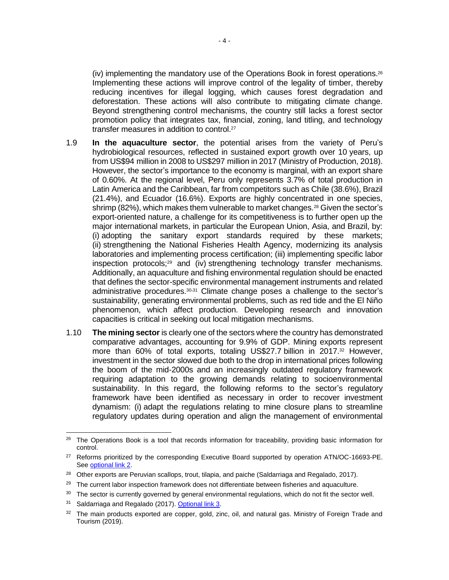(iv) implementing the mandatory use of the Operations Book in forest operations. 26 Implementing these actions will improve control of the legality of timber, thereby reducing incentives for illegal logging, which causes forest degradation and deforestation. These actions will also contribute to mitigating climate change. Beyond strengthening control mechanisms, the country still lacks a forest sector promotion policy that integrates tax, financial, zoning, land titling, and technology transfer measures in addition to control.<sup>27</sup>

- 1.9 **In the aquaculture sector**, the potential arises from the variety of Peru's hydrobiological resources, reflected in sustained export growth over 10 years, up from US\$94 million in 2008 to US\$297 million in 2017 (Ministry of Production, 2018). However, the sector's importance to the economy is marginal, with an export share of 0.60%. At the regional level, Peru only represents 3.7% of total production in Latin America and the Caribbean, far from competitors such as Chile (38.6%), Brazil (21.4%), and Ecuador (16.6%). Exports are highly concentrated in one species, shrimp (82%), which makes them vulnerable to market changes.<sup>28</sup> Given the sector's export-oriented nature, a challenge for its competitiveness is to further open up the major international markets, in particular the European Union, Asia, and Brazil, by: (i) adopting the sanitary export standards required by these markets; (ii) strengthening the National Fisheries Health Agency, modernizing its analysis laboratories and implementing process certification; (iii) implementing specific labor inspection protocols;<sup>29</sup> and (iv) strengthening technology transfer mechanisms. Additionally, an aquaculture and fishing environmental regulation should be enacted that defines the sector-specific environmental management instruments and related administrative procedures.30,<sup>31</sup> Climate change poses a challenge to the sector's sustainability, generating environmental problems, such as red tide and the El Niño phenomenon, which affect production. Developing research and innovation capacities is critical in seeking out local mitigation mechanisms.
- 1.10 **The mining sector** is clearly one of the sectors where the country has demonstrated comparative advantages, accounting for 9.9% of GDP. Mining exports represent more than 60% of total exports, totaling US\$27.7 billion in 2017.<sup>32</sup> However, investment in the sector slowed due both to the drop in international prices following the boom of the mid-2000s and an increasingly outdated regulatory framework requiring adaptation to the growing demands relating to socioenvironmental sustainability. In this regard, the following reforms to the sector's regulatory framework have been identified as necessary in order to recover investment dynamism: (i) adapt the regulations relating to mine closure plans to streamline regulatory updates during operation and align the management of environmental

<sup>&</sup>lt;sup>26</sup> The Operations Book is a tool that records information for traceability, providing basic information for control.

<sup>&</sup>lt;sup>27</sup> Reforms prioritized by the corresponding Executive Board supported by operation ATN/OC-16693-PE. See [optional link 2.](http://idbdocs.iadb.org/wsdocs/getdocument.aspx?docnum=EZSHARE-1166265003-4)

<sup>&</sup>lt;sup>28</sup> Other exports are Peruvian scallops, trout, tilapia, and paiche (Saldarriaga and Regalado, 2017).

<sup>&</sup>lt;sup>29</sup> The current labor inspection framework does not differentiate between fisheries and aquaculture.

<sup>&</sup>lt;sup>30</sup> The sector is currently governed by general environmental regulations, which do not fit the sector well.

<sup>31</sup> Saldarriaga and Regalado (2017)[. Optional link 3.](http://idbdocs.iadb.org/wsdocs/getdocument.aspx?docnum=EZSHARE-1166265003-5)

<sup>32</sup> The main products exported are copper, gold, zinc, oil, and natural gas. Ministry of Foreign Trade and Tourism (2019).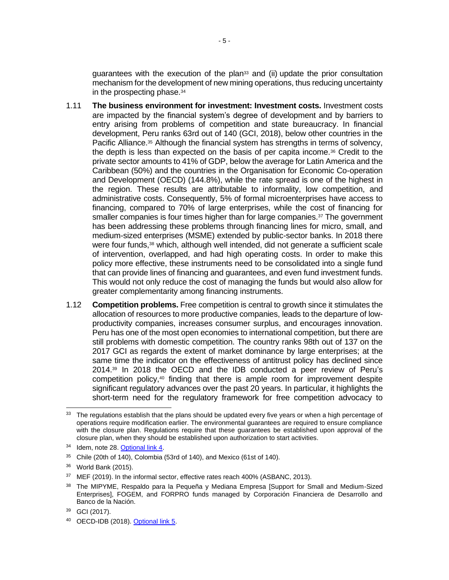quarantees with the execution of the plan $33$  and (ii) update the prior consultation mechanism for the development of new mining operations, thus reducing uncertainty in the prospecting phase.<sup>34</sup>

- 1.11 **The business environment for investment: Investment costs.** Investment costs are impacted by the financial system's degree of development and by barriers to entry arising from problems of competition and state bureaucracy. In financial development, Peru ranks 63rd out of 140 (GCI, 2018), below other countries in the Pacific Alliance.<sup>35</sup> Although the financial system has strengths in terms of solvency, the depth is less than expected on the basis of per capita income.<sup>36</sup> Credit to the private sector amounts to 41% of GDP, below the average for Latin America and the Caribbean (50%) and the countries in the Organisation for Economic Co-operation and Development (OECD) (144.8%), while the rate spread is one of the highest in the region. These results are attributable to informality, low competition, and administrative costs. Consequently, 5% of formal microenterprises have access to financing, compared to 70% of large enterprises, while the cost of financing for smaller companies is four times higher than for large companies.<sup>37</sup> The government has been addressing these problems through financing lines for micro, small, and medium-sized enterprises (MSME) extended by public-sector banks. In 2018 there were four funds,<sup>38</sup> which, although well intended, did not generate a sufficient scale of intervention, overlapped, and had high operating costs. In order to make this policy more effective, these instruments need to be consolidated into a single fund that can provide lines of financing and guarantees, and even fund investment funds. This would not only reduce the cost of managing the funds but would also allow for greater complementarity among financing instruments.
- 1.12 **Competition problems.** Free competition is central to growth since it stimulates the allocation of resources to more productive companies, leads to the departure of lowproductivity companies, increases consumer surplus, and encourages innovation. Peru has one of the most open economies to international competition, but there are still problems with domestic competition. The country ranks 98th out of 137 on the 2017 GCI as regards the extent of market dominance by large enterprises; at the same time the indicator on the effectiveness of antitrust policy has declined since 2014.<sup>39</sup> In 2018 the OECD and the IDB conducted a peer review of Peru's competition policy,<sup>40</sup> finding that there is ample room for improvement despite significant regulatory advances over the past 20 years. In particular, it highlights the short-term need for the regulatory framework for free competition advocacy to

<sup>&</sup>lt;sup>33</sup> The regulations establish that the plans should be updated every five years or when a high percentage of operations require modification earlier. The environmental guarantees are required to ensure compliance with the closure plan. Regulations require that these guarantees be established upon approval of the closure plan, when they should be established upon authorization to start activities.

<sup>34</sup> Idem, note 28. [Optional link 4.](http://idbdocs.iadb.org/wsdocs/getdocument.aspx?docnum=EZSHARE-1166265003-6)

<sup>35</sup> Chile (20th of 140), Colombia (53rd of 140), and Mexico (61st of 140).

<sup>36</sup> World Bank (2015).

<sup>&</sup>lt;sup>37</sup> MEF (2019). In the informal sector, effective rates reach 400% (ASBANC, 2013).

<sup>&</sup>lt;sup>38</sup> The MIPYME, Respaldo para la Pequeña y Mediana Empresa [Support for Small and Medium-Sized Enterprises], FOGEM, and FORPRO funds managed by Corporación Financiera de Desarrollo and Banco de la Nación.

<sup>39</sup> GCI (2017).

<sup>40</sup> OECD-IDB (2018). [Optional link 5.](http://idbdocs.iadb.org/wsdocs/getdocument.aspx?docnum=EZSHARE-1166265003-62)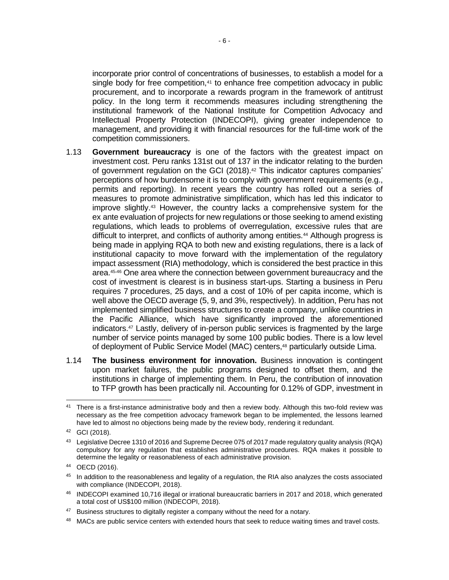incorporate prior control of concentrations of businesses, to establish a model for a single body for free competition, $41$  to enhance free competition advocacy in public procurement, and to incorporate a rewards program in the framework of antitrust policy. In the long term it recommends measures including strengthening the institutional framework of the National Institute for Competition Advocacy and Intellectual Property Protection (INDECOPI), giving greater independence to management, and providing it with financial resources for the full-time work of the competition commissioners.

- 1.13 **Government bureaucracy** is one of the factors with the greatest impact on investment cost. Peru ranks 131st out of 137 in the indicator relating to the burden of government regulation on the GCI (2018).<sup>42</sup> This indicator captures companies' perceptions of how burdensome it is to comply with government requirements (e.g., permits and reporting). In recent years the country has rolled out a series of measures to promote administrative simplification, which has led this indicator to improve slightly.<sup>43</sup> However, the country lacks a comprehensive system for the ex ante evaluation of projects for new regulations or those seeking to amend existing regulations, which leads to problems of overregulation, excessive rules that are difficult to interpret, and conflicts of authority among entities.<sup>44</sup> Although progress is being made in applying RQA to both new and existing regulations, there is a lack of institutional capacity to move forward with the implementation of the regulatory impact assessment (RIA) methodology, which is considered the best practice in this area. <sup>45</sup>,<sup>46</sup> One area where the connection between government bureaucracy and the cost of investment is clearest is in business start-ups. Starting a business in Peru requires 7 procedures, 25 days, and a cost of 10% of per capita income, which is well above the OECD average (5, 9, and 3%, respectively). In addition, Peru has not implemented simplified business structures to create a company, unlike countries in the Pacific Alliance, which have significantly improved the aforementioned indicators.<sup>47</sup> Lastly, delivery of in-person public services is fragmented by the large number of service points managed by some 100 public bodies. There is a low level of deployment of Public Service Model (MAC) centers,<sup>48</sup> particularly outside Lima.
- 1.14 **The business environment for innovation.** Business innovation is contingent upon market failures, the public programs designed to offset them, and the institutions in charge of implementing them. In Peru, the contribution of innovation to TFP growth has been practically nil. Accounting for 0.12% of GDP, investment in

<sup>&</sup>lt;sup>41</sup> There is a first-instance administrative body and then a review body. Although this two-fold review was necessary as the free competition advocacy framework began to be implemented, the lessons learned have led to almost no objections being made by the review body, rendering it redundant.

<sup>42</sup> GCI (2018).

<sup>43</sup> Legislative Decree 1310 of 2016 and Supreme Decree 075 of 2017 made regulatory quality analysis (RQA) compulsory for any regulation that establishes administrative procedures. RQA makes it possible to determine the legality or reasonableness of each administrative provision.

<sup>44</sup> OECD (2016).

<sup>&</sup>lt;sup>45</sup> In addition to the reasonableness and legality of a regulation, the RIA also analyzes the costs associated with compliance (INDECOPI, 2018).

<sup>46</sup> INDECOPI examined 10,716 illegal or irrational bureaucratic barriers in 2017 and 2018, which generated a total cost of US\$100 million (INDECOPI, 2018).

 $47$  Business structures to digitally register a company without the need for a notary.

<sup>&</sup>lt;sup>48</sup> MACs are public service centers with extended hours that seek to reduce waiting times and travel costs.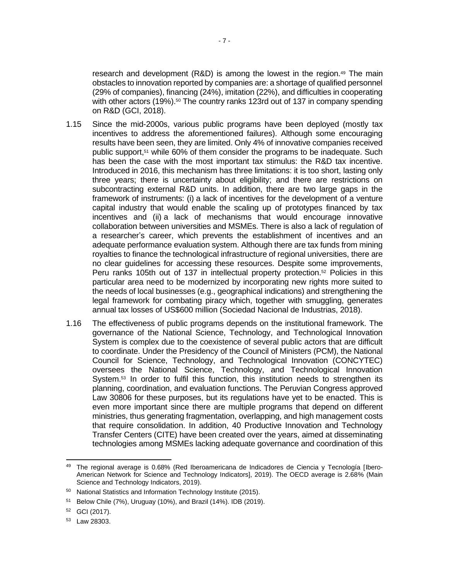research and development (R&D) is among the lowest in the region.<sup>49</sup> The main obstacles to innovation reported by companies are: a shortage of qualified personnel (29% of companies), financing (24%), imitation (22%), and difficulties in cooperating with other actors (19%).<sup>50</sup> The country ranks 123rd out of 137 in company spending on R&D (GCI, 2018).

- 1.15 Since the mid-2000s, various public programs have been deployed (mostly tax incentives to address the aforementioned failures). Although some encouraging results have been seen, they are limited. Only 4% of innovative companies received public support,<sup>51</sup> while 60% of them consider the programs to be inadequate. Such has been the case with the most important tax stimulus: the R&D tax incentive. Introduced in 2016, this mechanism has three limitations: it is too short, lasting only three years; there is uncertainty about eligibility; and there are restrictions on subcontracting external R&D units. In addition, there are two large gaps in the framework of instruments: (i) a lack of incentives for the development of a venture capital industry that would enable the scaling up of prototypes financed by tax incentives and (ii) a lack of mechanisms that would encourage innovative collaboration between universities and MSMEs. There is also a lack of regulation of a researcher's career, which prevents the establishment of incentives and an adequate performance evaluation system. Although there are tax funds from mining royalties to finance the technological infrastructure of regional universities, there are no clear guidelines for accessing these resources. Despite some improvements, Peru ranks 105th out of 137 in intellectual property protection.<sup>52</sup> Policies in this particular area need to be modernized by incorporating new rights more suited to the needs of local businesses (e.g., geographical indications) and strengthening the legal framework for combating piracy which, together with smuggling, generates annual tax losses of US\$600 million (Sociedad Nacional de Industrias, 2018).
- 1.16 The effectiveness of public programs depends on the institutional framework. The governance of the National Science, Technology, and Technological Innovation System is complex due to the coexistence of several public actors that are difficult to coordinate. Under the Presidency of the Council of Ministers (PCM), the National Council for Science, Technology, and Technological Innovation (CONCYTEC) oversees the National Science, Technology, and Technological Innovation System.<sup>53</sup> In order to fulfil this function, this institution needs to strengthen its planning, coordination, and evaluation functions. The Peruvian Congress approved Law 30806 for these purposes, but its regulations have yet to be enacted. This is even more important since there are multiple programs that depend on different ministries, thus generating fragmentation, overlapping, and high management costs that require consolidation. In addition, 40 Productive Innovation and Technology Transfer Centers (CITE) have been created over the years, aimed at disseminating technologies among MSMEs lacking adequate governance and coordination of this

<sup>49</sup> The regional average is 0.68% (Red Iberoamericana de Indicadores de Ciencia y Tecnología [Ibero-American Network for Science and Technology Indicators], 2019). The OECD average is 2.68% (Main Science and Technology Indicators, 2019).

<sup>50</sup> National Statistics and Information Technology Institute (2015).

<sup>51</sup> Below Chile (7%), Uruguay (10%), and Brazil (14%). IDB (2019).

<sup>52</sup> GCI (2017).

<sup>53</sup> Law 28303.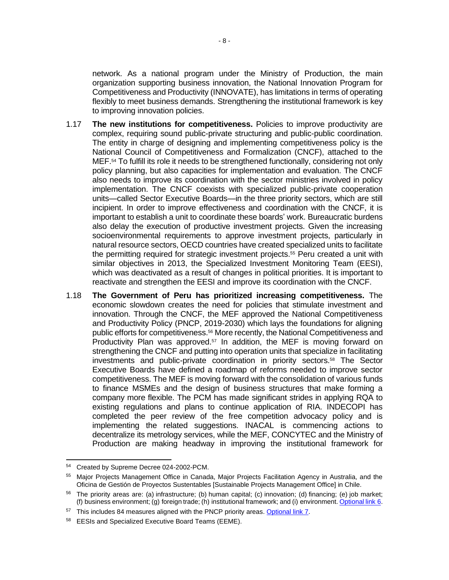network. As a national program under the Ministry of Production, the main organization supporting business innovation, the National Innovation Program for Competitiveness and Productivity (INNOVATE), has limitations in terms of operating flexibly to meet business demands. Strengthening the institutional framework is key to improving innovation policies.

- 1.17 **The new institutions for competitiveness.** Policies to improve productivity are complex, requiring sound public-private structuring and public-public coordination. The entity in charge of designing and implementing competitiveness policy is the National Council of Competitiveness and Formalization (CNCF), attached to the MEF.<sup>54</sup> To fulfill its role it needs to be strengthened functionally, considering not only policy planning, but also capacities for implementation and evaluation. The CNCF also needs to improve its coordination with the sector ministries involved in policy implementation. The CNCF coexists with specialized public-private cooperation units—called Sector Executive Boards—in the three priority sectors, which are still incipient. In order to improve effectiveness and coordination with the CNCF, it is important to establish a unit to coordinate these boards' work. Bureaucratic burdens also delay the execution of productive investment projects. Given the increasing socioenvironmental requirements to approve investment projects, particularly in natural resource sectors, OECD countries have created specialized units to facilitate the permitting required for strategic investment projects.<sup>55</sup> Peru created a unit with similar objectives in 2013, the Specialized Investment Monitoring Team (EESI), which was deactivated as a result of changes in political priorities. It is important to reactivate and strengthen the EESI and improve its coordination with the CNCF.
- 1.18 **The Government of Peru has prioritized increasing competitiveness.** The economic slowdown creates the need for policies that stimulate investment and innovation. Through the CNCF, the MEF approved the National Competitiveness and Productivity Policy (PNCP, 2019-2030) which lays the foundations for aligning public efforts for competitiveness.<sup>56</sup> More recently, the National Competitiveness and Productivity Plan was approved.<sup>57</sup> In addition, the MEF is moving forward on strengthening the CNCF and putting into operation units that specialize in facilitating investments and public-private coordination in priority sectors.<sup>58</sup> The Sector Executive Boards have defined a roadmap of reforms needed to improve sector competitiveness. The MEF is moving forward with the consolidation of various funds to finance MSMEs and the design of business structures that make forming a company more flexible. The PCM has made significant strides in applying RQA to existing regulations and plans to continue application of RIA. INDECOPI has completed the peer review of the free competition advocacy policy and is implementing the related suggestions. INACAL is commencing actions to decentralize its metrology services, while the MEF, CONCYTEC and the Ministry of Production are making headway in improving the institutional framework for

<sup>54</sup> Created by Supreme Decree 024-2002-PCM.

<sup>55</sup> Major Projects Management Office in Canada, Major Projects Facilitation Agency in Australia, and the Oficina de Gestión de Proyectos Sustentables [Sustainable Projects Management Office] in Chile.

 $56$  The priority areas are: (a) infrastructure; (b) human capital; (c) innovation; (d) financing; (e) job market; (f) business environment; (g) foreign trade; (h) institutional framework; and (i) environment[. Optional link](http://idbdocs.iadb.org/wsdocs/getdocument.aspx?docnum=EZSHARE-1166265003-7) 6.

<sup>&</sup>lt;sup>57</sup> This includes 84 measures aligned with the PNCP priority areas[. Optional link 7.](http://idbdocs.iadb.org/wsdocs/getdocument.aspx?docnum=EZSHARE-1166265003-58)

<sup>58</sup> EESIs and Specialized Executive Board Teams (EEME).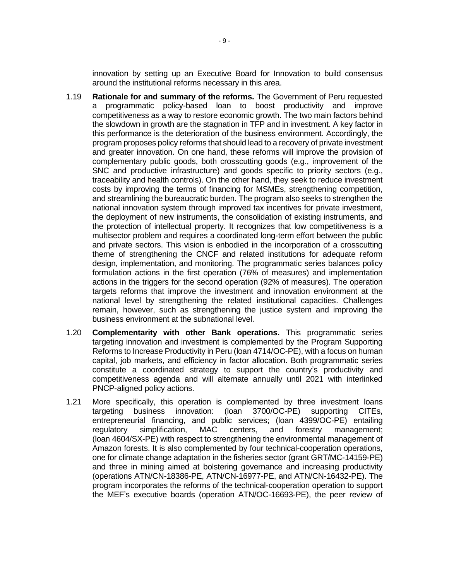innovation by setting up an Executive Board for Innovation to build consensus around the institutional reforms necessary in this area.

- 1.19 **Rationale for and summary of the reforms.** The Government of Peru requested a programmatic policy-based loan to boost productivity and improve competitiveness as a way to restore economic growth. The two main factors behind the slowdown in growth are the stagnation in TFP and in investment. A key factor in this performance is the deterioration of the business environment. Accordingly, the program proposes policy reforms that should lead to a recovery of private investment and greater innovation. On one hand, these reforms will improve the provision of complementary public goods, both crosscutting goods (e.g., improvement of the SNC and productive infrastructure) and goods specific to priority sectors (e.g., traceability and health controls). On the other hand, they seek to reduce investment costs by improving the terms of financing for MSMEs, strengthening competition, and streamlining the bureaucratic burden. The program also seeks to strengthen the national innovation system through improved tax incentives for private investment, the deployment of new instruments, the consolidation of existing instruments, and the protection of intellectual property. It recognizes that low competitiveness is a multisector problem and requires a coordinated long-term effort between the public and private sectors. This vision is enbodied in the incorporation of a crosscutting theme of strengthening the CNCF and related institutions for adequate reform design, implementation, and monitoring. The programmatic series balances policy formulation actions in the first operation (76% of measures) and implementation actions in the triggers for the second operation (92% of measures). The operation targets reforms that improve the investment and innovation environment at the national level by strengthening the related institutional capacities. Challenges remain, however, such as strengthening the justice system and improving the business environment at the subnational level.
- 1.20 **Complementarity with other Bank operations.** This programmatic series targeting innovation and investment is complemented by the Program Supporting Reforms to Increase Productivity in Peru (loan 4714/OC-PE), with a focus on human capital, job markets, and efficiency in factor allocation. Both programmatic series constitute a coordinated strategy to support the country's productivity and competitiveness agenda and will alternate annually until 2021 with interlinked PNCP-aligned policy actions.
- 1.21 More specifically, this operation is complemented by three investment loans targeting business innovation: (loan 3700/OC-PE) supporting CITEs, entrepreneurial financing, and public services; (loan 4399/OC-PE) entailing regulatory simplification, MAC centers, and forestry management; (loan 4604/SX-PE) with respect to strengthening the environmental management of Amazon forests. It is also complemented by four technical-cooperation operations, one for climate change adaptation in the fisheries sector (grant GRT/MC-14159-PE) and three in mining aimed at bolstering governance and increasing productivity (operations ATN/CN-18386-PE, ATN/CN-16977-PE, and ATN/CN-16432-PE). The program incorporates the reforms of the technical-cooperation operation to support the MEF's executive boards (operation ATN/OC-16693-PE), the peer review of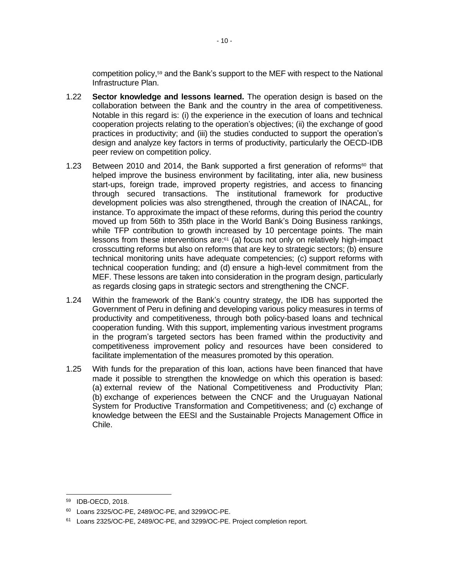competition policy,<sup>59</sup> and the Bank's support to the MEF with respect to the National Infrastructure Plan.

- 1.22 **Sector knowledge and lessons learned.** The operation design is based on the collaboration between the Bank and the country in the area of competitiveness. Notable in this regard is: (i) the experience in the execution of loans and technical cooperation projects relating to the operation's objectives; (ii) the exchange of good practices in productivity; and (iii) the studies conducted to support the operation's design and analyze key factors in terms of productivity, particularly the OECD-IDB peer review on competition policy.
- 1.23 Between 2010 and 2014, the Bank supported a first generation of reforms<sup>60</sup> that helped improve the business environment by facilitating, inter alia, new business start-ups, foreign trade, improved property registries, and access to financing through secured transactions. The institutional framework for productive development policies was also strengthened, through the creation of INACAL, for instance. To approximate the impact of these reforms, during this period the country moved up from 56th to 35th place in the World Bank's Doing Business rankings, while TFP contribution to growth increased by 10 percentage points. The main lessons from these interventions are:<sup>61</sup> (a) focus not only on relatively high-impact crosscutting reforms but also on reforms that are key to strategic sectors; (b) ensure technical monitoring units have adequate competencies; (c) support reforms with technical cooperation funding; and (d) ensure a high-level commitment from the MEF. These lessons are taken into consideration in the program design, particularly as regards closing gaps in strategic sectors and strengthening the CNCF.
- 1.24 Within the framework of the Bank's country strategy, the IDB has supported the Government of Peru in defining and developing various policy measures in terms of productivity and competitiveness, through both policy-based loans and technical cooperation funding. With this support, implementing various investment programs in the program's targeted sectors has been framed within the productivity and competitiveness improvement policy and resources have been considered to facilitate implementation of the measures promoted by this operation.
- 1.25 With funds for the preparation of this loan, actions have been financed that have made it possible to strengthen the knowledge on which this operation is based: (a) external review of the National Competitiveness and Productivity Plan; (b) exchange of experiences between the CNCF and the Uruguayan National System for Productive Transformation and Competitiveness; and (c) exchange of knowledge between the EESI and the Sustainable Projects Management Office in Chile.

<sup>59</sup> IDB-OECD, 2018.

<sup>60</sup> Loans 2325/OC-PE, 2489/OC-PE, and 3299/OC-PE.

<sup>&</sup>lt;sup>61</sup> Loans 2325/OC-PE, 2489/OC-PE, and 3299/OC-PE. Project completion report.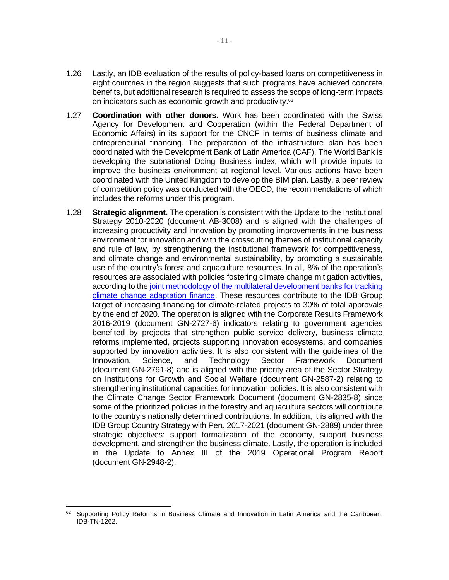- 1.26 Lastly, an IDB evaluation of the results of policy-based loans on competitiveness in eight countries in the region suggests that such programs have achieved concrete benefits, but additional research is required to assess the scope of long-term impacts on indicators such as economic growth and productivity.<sup>62</sup>
- 1.27 **Coordination with other donors.** Work has been coordinated with the Swiss Agency for Development and Cooperation (within the Federal Department of Economic Affairs) in its support for the CNCF in terms of business climate and entrepreneurial financing. The preparation of the infrastructure plan has been coordinated with the Development Bank of Latin America (CAF). The World Bank is developing the subnational Doing Business index, which will provide inputs to improve the business environment at regional level. Various actions have been coordinated with the United Kingdom to develop the BIM plan. Lastly, a peer review of competition policy was conducted with the OECD, the recommendations of which includes the reforms under this program.
- 1.28 **Strategic alignment.** The operation is consistent with the Update to the Institutional Strategy 2010-2020 (document AB-3008) and is aligned with the challenges of increasing productivity and innovation by promoting improvements in the business environment for innovation and with the crosscutting themes of institutional capacity and rule of law, by strengthening the institutional framework for competitiveness, and climate change and environmental sustainability, by promoting a sustainable use of the country's forest and aquaculture resources. In all, 8% of the operation's resources are associated with policies fostering climate change mitigation activities, according to the joint methodology of the multilateral development banks for tracking [climate change adaptation finance.](https://publications.iadb.org/en/2018-joint-report-multilateral-development-banks-climate-finance) These resources contribute to the IDB Group target of increasing financing for climate-related projects to 30% of total approvals by the end of 2020. The operation is aligned with the Corporate Results Framework 2016-2019 (document GN-2727-6) indicators relating to government agencies benefited by projects that strengthen public service delivery, business climate reforms implemented, projects supporting innovation ecosystems, and companies supported by innovation activities. It is also consistent with the guidelines of the Innovation, Science, and Technology Sector Framework Document (document GN-2791-8) and is aligned with the priority area of the Sector Strategy on Institutions for Growth and Social Welfare (document GN-2587-2) relating to strengthening institutional capacities for innovation policies. It is also consistent with the Climate Change Sector Framework Document (document GN-2835-8) since some of the prioritized policies in the forestry and aquaculture sectors will contribute to the country's nationally determined contributions. In addition, it is aligned with the IDB Group Country Strategy with Peru 2017-2021 (document GN-2889) under three strategic objectives: support formalization of the economy, support business development, and strengthen the business climate. Lastly, the operation is included in the Update to Annex III of the 2019 Operational Program Report (document GN-2948-2).

<sup>62</sup> Supporting Policy Reforms in Business Climate and Innovation in Latin America and the Caribbean. IDB-TN-1262.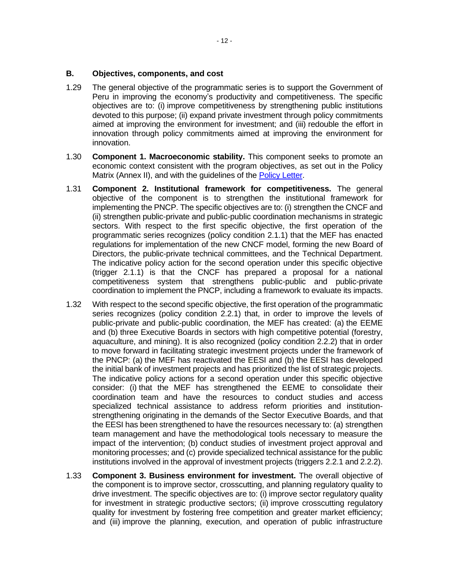#### **B. Objectives, components, and cost**

- 1.29 The general objective of the programmatic series is to support the Government of Peru in improving the economy's productivity and competitiveness. The specific objectives are to: (i) improve competitiveness by strengthening public institutions devoted to this purpose; (ii) expand private investment through policy commitments aimed at improving the environment for investment; and (iii) redouble the effort in innovation through policy commitments aimed at improving the environment for innovation.
- 1.30 **Component 1. Macroeconomic stability.** This component seeks to promote an economic context consistent with the program objectives, as set out in the Policy Matrix (Annex II), and with the quidelines of the [Policy Letter.](https://idbg.sharepoint.com/teams/ez-SEC/Registered%20Documents/RI-Reg-PR/RIRegPREnglish/Policy%20Letter%20PE-L1244.pdf)
- 1.31 **Component 2. Institutional framework for competitiveness.** The general objective of the component is to strengthen the institutional framework for implementing the PNCP. The specific objectives are to: (i) strengthen the CNCF and (ii) strengthen public-private and public-public coordination mechanisms in strategic sectors. With respect to the first specific objective, the first operation of the programmatic series recognizes (policy condition 2.1.1) that the MEF has enacted regulations for implementation of the new CNCF model, forming the new Board of Directors, the public-private technical committees, and the Technical Department. The indicative policy action for the second operation under this specific objective (trigger 2.1.1) is that the CNCF has prepared a proposal for a national competitiveness system that strengthens public-public and public-private coordination to implement the PNCP, including a framework to evaluate its impacts.
- 1.32 With respect to the second specific objective, the first operation of the programmatic series recognizes (policy condition 2.2.1) that, in order to improve the levels of public-private and public-public coordination, the MEF has created: (a) the EEME and (b) three Executive Boards in sectors with high competitive potential (forestry, aquaculture, and mining). It is also recognized (policy condition 2.2.2) that in order to move forward in facilitating strategic investment projects under the framework of the PNCP: (a) the MEF has reactivated the EESI and (b) the EESI has developed the initial bank of investment projects and has prioritized the list of strategic projects. The indicative policy actions for a second operation under this specific objective consider: (i) that the MEF has strengthened the EEME to consolidate their coordination team and have the resources to conduct studies and access specialized technical assistance to address reform priorities and institutionstrengthening originating in the demands of the Sector Executive Boards, and that the EESI has been strengthened to have the resources necessary to: (a) strengthen team management and have the methodological tools necessary to measure the impact of the intervention; (b) conduct studies of investment project approval and monitoring processes; and (c) provide specialized technical assistance for the public institutions involved in the approval of investment projects (triggers 2.2.1 and 2.2.2).
- 1.33 **Component 3. Business environment for investment.** The overall objective of the component is to improve sector, crosscutting, and planning regulatory quality to drive investment. The specific objectives are to: (i) improve sector regulatory quality for investment in strategic productive sectors; (ii) improve crosscutting regulatory quality for investment by fostering free competition and greater market efficiency; and (iii) improve the planning, execution, and operation of public infrastructure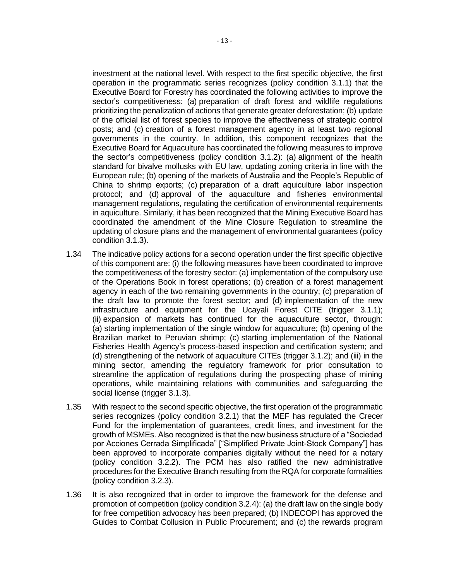investment at the national level. With respect to the first specific objective, the first operation in the programmatic series recognizes (policy condition 3.1.1) that the Executive Board for Forestry has coordinated the following activities to improve the sector's competitiveness: (a) preparation of draft forest and wildlife regulations prioritizing the penalization of actions that generate greater deforestation; (b) update of the official list of forest species to improve the effectiveness of strategic control posts; and (c) creation of a forest management agency in at least two regional governments in the country. In addition, this component recognizes that the Executive Board for Aquaculture has coordinated the following measures to improve the sector's competitiveness (policy condition 3.1.2): (a) alignment of the health standard for bivalve mollusks with EU law, updating zoning criteria in line with the European rule; (b) opening of the markets of Australia and the People's Republic of China to shrimp exports; (c) preparation of a draft aquiculture labor inspection protocol; and (d) approval of the aquaculture and fisheries environmental management regulations, regulating the certification of environmental requirements in aquiculture. Similarly, it has been recognized that the Mining Executive Board has coordinated the amendment of the Mine Closure Regulation to streamline the updating of closure plans and the management of environmental guarantees (policy condition 3.1.3).

- 1.34 The indicative policy actions for a second operation under the first specific objective of this component are: (i) the following measures have been coordinated to improve the competitiveness of the forestry sector: (a) implementation of the compulsory use of the Operations Book in forest operations; (b) creation of a forest management agency in each of the two remaining governments in the country; (c) preparation of the draft law to promote the forest sector; and (d) implementation of the new infrastructure and equipment for the Ucayali Forest CITE (trigger 3.1.1); (ii) expansion of markets has continued for the aquaculture sector, through: (a) starting implementation of the single window for aquaculture; (b) opening of the Brazilian market to Peruvian shrimp; (c) starting implementation of the National Fisheries Health Agency's process-based inspection and certification system; and (d) strengthening of the network of aquaculture CITEs (trigger 3.1.2); and (iii) in the mining sector, amending the regulatory framework for prior consultation to streamline the application of regulations during the prospecting phase of mining operations, while maintaining relations with communities and safeguarding the social license (trigger 3.1.3).
- 1.35 With respect to the second specific objective, the first operation of the programmatic series recognizes (policy condition 3.2.1) that the MEF has regulated the Crecer Fund for the implementation of guarantees, credit lines, and investment for the growth of MSMEs. Also recognized is that the new business structure of a "Sociedad por Acciones Cerrada Simplificada" ["Simplified Private Joint-Stock Company"] has been approved to incorporate companies digitally without the need for a notary (policy condition 3.2.2). The PCM has also ratified the new administrative procedures for the Executive Branch resulting from the RQA for corporate formalities (policy condition 3.2.3).
- 1.36 It is also recognized that in order to improve the framework for the defense and promotion of competition (policy condition 3.2.4): (a) the draft law on the single body for free competition advocacy has been prepared; (b) INDECOPI has approved the Guides to Combat Collusion in Public Procurement; and (c) the rewards program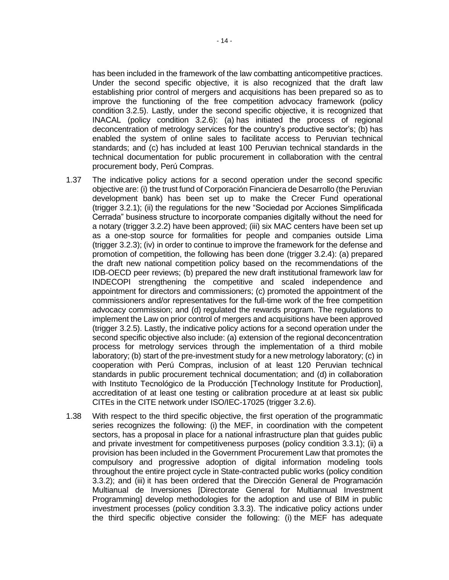has been included in the framework of the law combatting anticompetitive practices. Under the second specific objective, it is also recognized that the draft law establishing prior control of mergers and acquisitions has been prepared so as to improve the functioning of the free competition advocacy framework (policy condition 3.2.5). Lastly, under the second specific objective, it is recognized that INACAL (policy condition 3.2.6): (a) has initiated the process of regional deconcentration of metrology services for the country's productive sector's; (b) has enabled the system of online sales to facilitate access to Peruvian technical standards; and (c) has included at least 100 Peruvian technical standards in the technical documentation for public procurement in collaboration with the central procurement body, Perú Compras.

- 1.37 The indicative policy actions for a second operation under the second specific objective are: (i) the trust fund of Corporación Financiera de Desarrollo (the Peruvian development bank) has been set up to make the Crecer Fund operational (trigger 3.2.1); (ii) the regulations for the new "Sociedad por Acciones Simplificada Cerrada" business structure to incorporate companies digitally without the need for a notary (trigger 3.2.2) have been approved; (iii) six MAC centers have been set up as a one-stop source for formalities for people and companies outside Lima (trigger 3.2.3); (iv) in order to continue to improve the framework for the defense and promotion of competition, the following has been done (trigger 3.2.4): (a) prepared the draft new national competition policy based on the recommendations of the IDB-OECD peer reviews; (b) prepared the new draft institutional framework law for INDECOPI strengthening the competitive and scaled independence and appointment for directors and commissioners; (c) promoted the appointment of the commissioners and/or representatives for the full-time work of the free competition advocacy commission; and (d) regulated the rewards program. The regulations to implement the Law on prior control of mergers and acquisitions have been approved (trigger 3.2.5). Lastly, the indicative policy actions for a second operation under the second specific objective also include: (a) extension of the regional deconcentration process for metrology services through the implementation of a third mobile laboratory; (b) start of the pre-investment study for a new metrology laboratory; (c) in cooperation with Perú Compras, inclusion of at least 120 Peruvian technical standards in public procurement technical documentation; and (d) in collaboration with Instituto Tecnológico de la Producción [Technology Institute for Production], accreditation of at least one testing or calibration procedure at at least six public CITEs in the CITE network under ISO/IEC-17025 (trigger 3.2.6).
- 1.38 With respect to the third specific objective, the first operation of the programmatic series recognizes the following: (i) the MEF, in coordination with the competent sectors, has a proposal in place for a national infrastructure plan that guides public and private investment for competitiveness purposes (policy condition 3.3.1); (ii) a provision has been included in the Government Procurement Law that promotes the compulsory and progressive adoption of digital information modeling tools throughout the entire project cycle in State-contracted public works (policy condition 3.3.2); and (iii) it has been ordered that the Dirección General de Programación Multianual de Inversiones [Directorate General for Multiannual Investment Programming] develop methodologies for the adoption and use of BIM in public investment processes (policy condition 3.3.3). The indicative policy actions under the third specific objective consider the following: (i) the MEF has adequate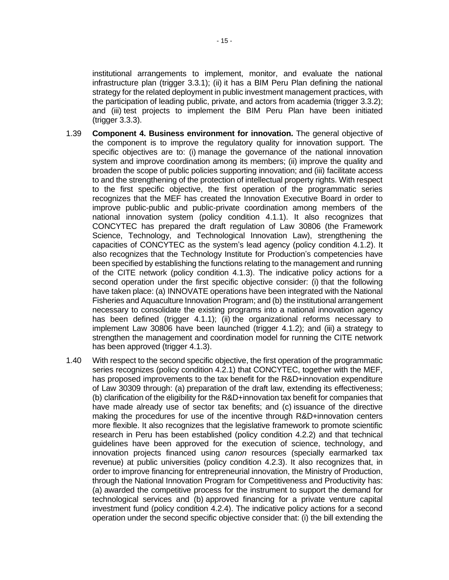institutional arrangements to implement, monitor, and evaluate the national infrastructure plan (trigger 3.3.1); (ii) it has a BIM Peru Plan defining the national strategy for the related deployment in public investment management practices, with the participation of leading public, private, and actors from academia (trigger 3.3.2); and (iii) test projects to implement the BIM Peru Plan have been initiated (trigger 3.3.3).

- 1.39 **Component 4. Business environment for innovation.** The general objective of the component is to improve the regulatory quality for innovation support. The specific objectives are to: (i) manage the governance of the national innovation system and improve coordination among its members; (ii) improve the quality and broaden the scope of public policies supporting innovation; and (iii) facilitate access to and the strengthening of the protection of intellectual property rights. With respect to the first specific objective, the first operation of the programmatic series recognizes that the MEF has created the Innovation Executive Board in order to improve public-public and public-private coordination among members of the national innovation system (policy condition 4.1.1). It also recognizes that CONCYTEC has prepared the draft regulation of Law 30806 (the Framework Science, Technology, and Technological Innovation Law), strengthening the capacities of CONCYTEC as the system's lead agency (policy condition 4.1.2). It also recognizes that the Technology Institute for Production's competencies have been specified by establishing the functions relating to the management and running of the CITE network (policy condition 4.1.3). The indicative policy actions for a second operation under the first specific objective consider: (i) that the following have taken place: (a) INNOVATE operations have been integrated with the National Fisheries and Aquaculture Innovation Program; and (b) the institutional arrangement necessary to consolidate the existing programs into a national innovation agency has been defined (trigger 4.1.1); (ii) the organizational reforms necessary to implement Law 30806 have been launched (trigger 4.1.2); and (iii) a strategy to strengthen the management and coordination model for running the CITE network has been approved (trigger 4.1.3).
- 1.40 With respect to the second specific objective, the first operation of the programmatic series recognizes (policy condition 4.2.1) that CONCYTEC, together with the MEF, has proposed improvements to the tax benefit for the R&D+innovation expenditure of Law 30309 through: (a) preparation of the draft law, extending its effectiveness; (b) clarification of the eligibility for the R&D+innovation tax benefit for companies that have made already use of sector tax benefits; and (c) issuance of the directive making the procedures for use of the incentive through R&D+innovation centers more flexible. It also recognizes that the legislative framework to promote scientific research in Peru has been established (policy condition 4.2.2) and that technical guidelines have been approved for the execution of science, technology, and innovation projects financed using *canon* resources (specially earmarked tax revenue) at public universities (policy condition 4.2.3). It also recognizes that, in order to improve financing for entrepreneurial innovation, the Ministry of Production, through the National Innovation Program for Competitiveness and Productivity has: (a) awarded the competitive process for the instrument to support the demand for technological services and (b) approved financing for a private venture capital investment fund (policy condition 4.2.4). The indicative policy actions for a second operation under the second specific objective consider that: (i) the bill extending the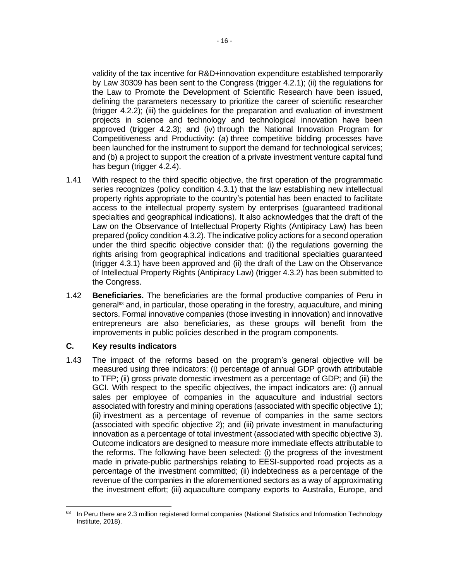validity of the tax incentive for R&D+innovation expenditure established temporarily by Law 30309 has been sent to the Congress (trigger 4.2.1); (ii) the regulations for the Law to Promote the Development of Scientific Research have been issued, defining the parameters necessary to prioritize the career of scientific researcher (trigger 4.2.2); (iii) the guidelines for the preparation and evaluation of investment projects in science and technology and technological innovation have been approved (trigger 4.2.3); and (iv) through the National Innovation Program for Competitiveness and Productivity: (a) three competitive bidding processes have been launched for the instrument to support the demand for technological services; and (b) a project to support the creation of a private investment venture capital fund has begun (trigger 4.2.4).

- 1.41 With respect to the third specific objective, the first operation of the programmatic series recognizes (policy condition 4.3.1) that the law establishing new intellectual property rights appropriate to the country's potential has been enacted to facilitate access to the intellectual property system by enterprises (guaranteed traditional specialties and geographical indications). It also acknowledges that the draft of the Law on the Observance of Intellectual Property Rights (Antipiracy Law) has been prepared (policy condition 4.3.2). The indicative policy actions for a second operation under the third specific objective consider that: (i) the regulations governing the rights arising from geographical indications and traditional specialties guaranteed (trigger 4.3.1) have been approved and (ii) the draft of the Law on the Observance of Intellectual Property Rights (Antipiracy Law) (trigger 4.3.2) has been submitted to the Congress.
- 1.42 **Beneficiaries.** The beneficiaries are the formal productive companies of Peru in general<sup>63</sup> and, in particular, those operating in the forestry, aquaculture, and mining sectors. Formal innovative companies (those investing in innovation) and innovative entrepreneurs are also beneficiaries, as these groups will benefit from the improvements in public policies described in the program components.

### **C. Key results indicators**

1.43 The impact of the reforms based on the program's general objective will be measured using three indicators: (i) percentage of annual GDP growth attributable to TFP; (ii) gross private domestic investment as a percentage of GDP; and (iii) the GCI. With respect to the specific objectives, the impact indicators are: (i) annual sales per employee of companies in the aquaculture and industrial sectors associated with forestry and mining operations (associated with specific objective 1); (ii) investment as a percentage of revenue of companies in the same sectors (associated with specific objective 2); and (iii) private investment in manufacturing innovation as a percentage of total investment (associated with specific objective 3). Outcome indicators are designed to measure more immediate effects attributable to the reforms. The following have been selected: (i) the progress of the investment made in private-public partnerships relating to EESI-supported road projects as a percentage of the investment committed; (ii) indebtedness as a percentage of the revenue of the companies in the aforementioned sectors as a way of approximating the investment effort; (iii) aquaculture company exports to Australia, Europe, and

<sup>63</sup> In Peru there are 2.3 million registered formal companies (National Statistics and Information Technology Institute, 2018).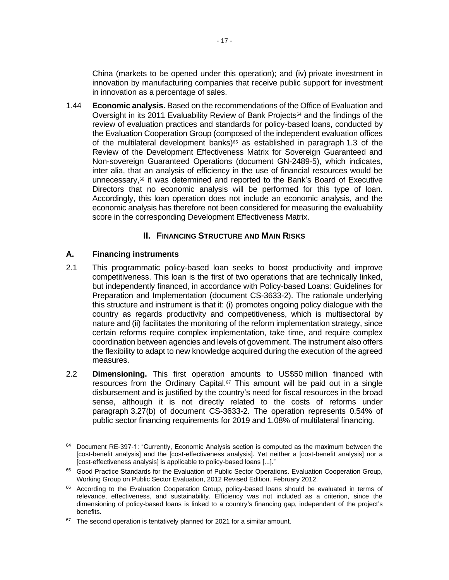China (markets to be opened under this operation); and (iv) private investment in innovation by manufacturing companies that receive public support for investment in innovation as a percentage of sales.

1.44 **Economic analysis.** Based on the recommendations of the Office of Evaluation and Oversight in its 2011 Evaluability Review of Bank Projects<sup>64</sup> and the findings of the review of evaluation practices and standards for policy-based loans, conducted by the Evaluation Cooperation Group (composed of the independent evaluation offices of the multilateral development banks) $65$  as established in paragraph 1.3 of the Review of the Development Effectiveness Matrix for Sovereign Guaranteed and Non-sovereign Guaranteed Operations (document GN-2489-5), which indicates, inter alia, that an analysis of efficiency in the use of financial resources would be unnecessary,<sup>66</sup> it was determined and reported to the Bank's Board of Executive Directors that no economic analysis will be performed for this type of loan. Accordingly, this loan operation does not include an economic analysis, and the economic analysis has therefore not been considered for measuring the evaluability score in the corresponding Development Effectiveness Matrix.

## **II. FINANCING STRUCTURE AND MAIN RISKS**

## **A. Financing instruments**

- 2.1 This programmatic policy-based loan seeks to boost productivity and improve competitiveness. This loan is the first of two operations that are technically linked, but independently financed, in accordance with Policy-based Loans: Guidelines for Preparation and Implementation (document CS-3633-2). The rationale underlying this structure and instrument is that it: (i) promotes ongoing policy dialogue with the country as regards productivity and competitiveness, which is multisectoral by nature and (ii) facilitates the monitoring of the reform implementation strategy, since certain reforms require complex implementation, take time, and require complex coordination between agencies and levels of government. The instrument also offers the flexibility to adapt to new knowledge acquired during the execution of the agreed measures.
- 2.2 **Dimensioning.** This first operation amounts to US\$50 million financed with resources from the Ordinary Capital.<sup> $57$ </sup> This amount will be paid out in a single disbursement and is justified by the country's need for fiscal resources in the broad sense, although it is not directly related to the costs of reforms under paragraph 3.27(b) of document CS-3633-2. The operation represents 0.54% of public sector financing requirements for 2019 and 1.08% of multilateral financing.

 $64$  Document RE-397-1: "Currently, Economic Analysis section is computed as the maximum between the [cost-benefit analysis] and the [cost-effectiveness analysis]. Yet neither a [cost-benefit analysis] nor a [cost-effectiveness analysis] is applicable to policy-based loans [...]."

<sup>&</sup>lt;sup>65</sup> Good Practice Standards for the Evaluation of Public Sector Operations. Evaluation Cooperation Group, Working Group on Public Sector Evaluation, 2012 Revised Edition. February 2012.

<sup>&</sup>lt;sup>66</sup> According to the Evaluation Cooperation Group, policy-based loans should be evaluated in terms of relevance, effectiveness, and sustainability. Efficiency was not included as a criterion, since the dimensioning of policy-based loans is linked to a country's financing gap, independent of the project's benefits.

 $67$  The second operation is tentatively planned for 2021 for a similar amount.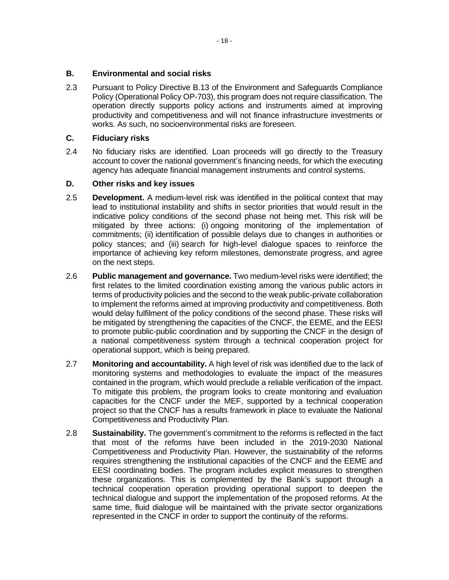### **B. Environmental and social risks**

2.3 Pursuant to Policy Directive B.13 of the Environment and Safeguards Compliance Policy (Operational Policy OP-703), this program does not require classification. The operation directly supports policy actions and instruments aimed at improving productivity and competitiveness and will not finance infrastructure investments or works. As such, no socioenvironmental risks are foreseen.

### **C. Fiduciary risks**

2.4 No fiduciary risks are identified. Loan proceeds will go directly to the Treasury account to cover the national government's financing needs, for which the executing agency has adequate financial management instruments and control systems.

### **D. Other risks and key issues**

- 2.5 **Development.** A medium-level risk was identified in the political context that may lead to institutional instability and shifts in sector priorities that would result in the indicative policy conditions of the second phase not being met. This risk will be mitigated by three actions: (i) ongoing monitoring of the implementation of commitments; (ii) identification of possible delays due to changes in authorities or policy stances; and (iii) search for high-level dialogue spaces to reinforce the importance of achieving key reform milestones, demonstrate progress, and agree on the next steps.
- 2.6 **Public management and governance.** Two medium-level risks were identified; the first relates to the limited coordination existing among the various public actors in terms of productivity policies and the second to the weak public-private collaboration to implement the reforms aimed at improving productivity and competitiveness. Both would delay fulfilment of the policy conditions of the second phase. These risks will be mitigated by strengthening the capacities of the CNCF, the EEME, and the EESI to promote public-public coordination and by supporting the CNCF in the design of a national competitiveness system through a technical cooperation project for operational support, which is being prepared.
- 2.7 **Monitoring and accountability.** A high level of risk was identified due to the lack of monitoring systems and methodologies to evaluate the impact of the measures contained in the program, which would preclude a reliable verification of the impact. To mitigate this problem, the program looks to create monitoring and evaluation capacities for the CNCF under the MEF, supported by a technical cooperation project so that the CNCF has a results framework in place to evaluate the National Competitiveness and Productivity Plan.
- 2.8 **Sustainability.** The government's commitment to the reforms is reflected in the fact that most of the reforms have been included in the 2019-2030 National Competitiveness and Productivity Plan. However, the sustainability of the reforms requires strengthening the institutional capacities of the CNCF and the EEME and EESI coordinating bodies. The program includes explicit measures to strengthen these organizations. This is complemented by the Bank's support through a technical cooperation operation providing operational support to deepen the technical dialogue and support the implementation of the proposed reforms. At the same time, fluid dialogue will be maintained with the private sector organizations represented in the CNCF in order to support the continuity of the reforms.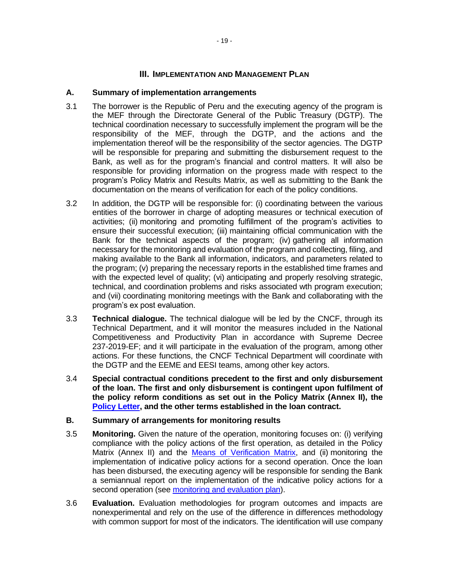## **III. IMPLEMENTATION AND MANAGEMENT PLAN**

### **A. Summary of implementation arrangements**

- 3.1 The borrower is the Republic of Peru and the executing agency of the program is the MEF through the Directorate General of the Public Treasury (DGTP). The technical coordination necessary to successfully implement the program will be the responsibility of the MEF, through the DGTP, and the actions and the implementation thereof will be the responsibility of the sector agencies. The DGTP will be responsible for preparing and submitting the disbursement request to the Bank, as well as for the program's financial and control matters. It will also be responsible for providing information on the progress made with respect to the program's Policy Matrix and Results Matrix, as well as submitting to the Bank the documentation on the means of verification for each of the policy conditions.
- 3.2 In addition, the DGTP will be responsible for: (i) coordinating between the various entities of the borrower in charge of adopting measures or technical execution of activities; (ii) monitoring and promoting fulfillment of the program's activities to ensure their successful execution; (iii) maintaining official communication with the Bank for the technical aspects of the program; (iv) gathering all information necessary for the monitoring and evaluation of the program and collecting, filing, and making available to the Bank all information, indicators, and parameters related to the program; (v) preparing the necessary reports in the established time frames and with the expected level of quality; (vi) anticipating and properly resolving strategic, technical, and coordination problems and risks associated wth program execution; and (vii) coordinating monitoring meetings with the Bank and collaborating with the program's ex post evaluation.
- 3.3 **Technical dialogue.** The technical dialogue will be led by the CNCF, through its Technical Department, and it will monitor the measures included in the National Competitiveness and Productivity Plan in accordance with Supreme Decree 237-2019-EF; and it will participate in the evaluation of the program, among other actions. For these functions, the CNCF Technical Department will coordinate with the DGTP and the EEME and EESI teams, among other key actors.
- 3.4 **Special contractual conditions precedent to the first and only disbursement of the loan. The first and only disbursement is contingent upon fulfilment of the policy reform conditions as set out in the Policy Matrix (Annex II), the [Policy Letter,](https://idbg.sharepoint.com/teams/ez-SEC/Registered%20Documents/RI-Reg-PR/RIRegPREnglish/Policy%20Letter%20PE-L1244.pdf) and the other terms established in the loan contract.**

### **B. Summary of arrangements for monitoring results**

- 3.5 **Monitoring.** Given the nature of the operation, monitoring focuses on: (i) verifying compliance with the policy actions of the first operation, as detailed in the Policy Matrix (Annex II) and the [Means of Verification Matrix,](http://idbdocs.iadb.org/wsdocs/getdocument.aspx?docnum=EZSHARE-1166265003-46) and (ii) monitoring the implementation of indicative policy actions for a second operation. Once the loan has been disbursed, the executing agency will be responsible for sending the Bank a semiannual report on the implementation of the indicative policy actions for a second operation (see [monitoring and evaluation plan\)](http://idbdocs.iadb.org/wsdocs/getdocument.aspx?docnum=EZSHARE-1166265003-49).
- 3.6 **Evaluation.** Evaluation methodologies for program outcomes and impacts are nonexperimental and rely on the use of the difference in differences methodology with common support for most of the indicators. The identification will use company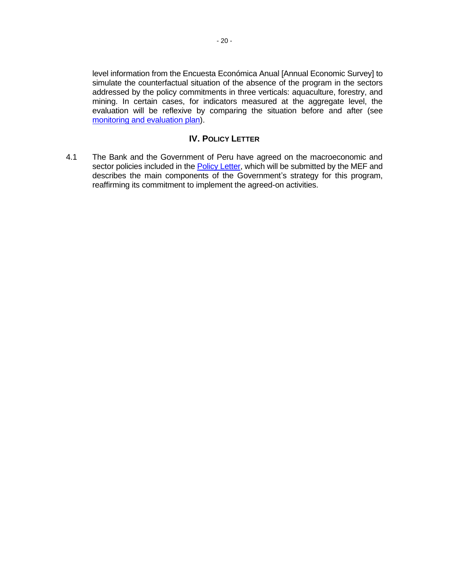level information from the Encuesta Económica Anual [Annual Economic Survey] to simulate the counterfactual situation of the absence of the program in the sectors addressed by the policy commitments in three verticals: aquaculture, forestry, and mining. In certain cases, for indicators measured at the aggregate level, the evaluation will be reflexive by comparing the situation before and after (see [monitoring and evaluation plan\)](http://idbdocs.iadb.org/wsdocs/getdocument.aspx?docnum=EZSHARE-1166265003-49).

## **IV. POLICY LETTER**

4.1 The Bank and the Government of Peru have agreed on the macroeconomic and sector policies included in the **Policy Letter**, which will be submitted by the MEF and describes the main components of the Government's strategy for this program, reaffirming its commitment to implement the agreed-on activities.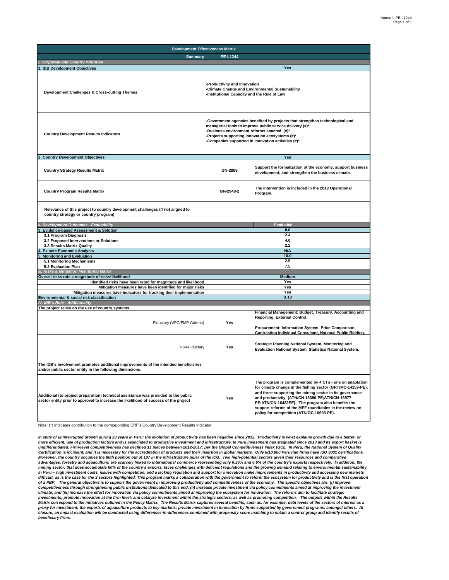| <b>Development Effectiveness Matrix</b>                                                                                                                                     |                                                                                                                                                                                                                                                                                              |                                                                                                                                                                                                                                                                                                                                                                                                     |  |  |  |
|-----------------------------------------------------------------------------------------------------------------------------------------------------------------------------|----------------------------------------------------------------------------------------------------------------------------------------------------------------------------------------------------------------------------------------------------------------------------------------------|-----------------------------------------------------------------------------------------------------------------------------------------------------------------------------------------------------------------------------------------------------------------------------------------------------------------------------------------------------------------------------------------------------|--|--|--|
| <b>Summarv</b>                                                                                                                                                              | <b>PE-L1244</b>                                                                                                                                                                                                                                                                              |                                                                                                                                                                                                                                                                                                                                                                                                     |  |  |  |
| <b>Corporate and Country Priorities</b>                                                                                                                                     |                                                                                                                                                                                                                                                                                              |                                                                                                                                                                                                                                                                                                                                                                                                     |  |  |  |
| <b>IDB Development Objectives</b>                                                                                                                                           |                                                                                                                                                                                                                                                                                              | <b>Yes</b>                                                                                                                                                                                                                                                                                                                                                                                          |  |  |  |
| Development Challenges & Cross-cutting Themes                                                                                                                               | Productivity and Innovation<br><b>Climate Change and Environmental Sustainability</b><br>Institutional Capacity and the Rule of Law                                                                                                                                                          |                                                                                                                                                                                                                                                                                                                                                                                                     |  |  |  |
| <b>Country Development Results Indicators</b>                                                                                                                               | -Government agencies benefited by projects that strengthen technological and<br>managerial tools to improve public service delivery (#)*<br>Business environment reforms enacted (#)*<br>Projects supporting innovation ecosystems (#)*<br>Companies supported in innovation activities (#)* |                                                                                                                                                                                                                                                                                                                                                                                                     |  |  |  |
| <b>Country Development Objectives</b>                                                                                                                                       |                                                                                                                                                                                                                                                                                              | Yes                                                                                                                                                                                                                                                                                                                                                                                                 |  |  |  |
| <b>Country Strategy Results Matrix</b>                                                                                                                                      | GN-2889                                                                                                                                                                                                                                                                                      | Support the formalization of the economy, support business<br>development; and strengthen the business climate.                                                                                                                                                                                                                                                                                     |  |  |  |
| <b>Country Program Results Matrix</b>                                                                                                                                       | GN-2948-2                                                                                                                                                                                                                                                                                    | The intervention is included in the 2019 Operational<br>Program.                                                                                                                                                                                                                                                                                                                                    |  |  |  |
| Relevance of this project to country development challenges (If not aligned to<br>country strategy or country program)                                                      |                                                                                                                                                                                                                                                                                              |                                                                                                                                                                                                                                                                                                                                                                                                     |  |  |  |
| <b>Development Outcomes - Evaluability</b>                                                                                                                                  |                                                                                                                                                                                                                                                                                              | Evaluable                                                                                                                                                                                                                                                                                                                                                                                           |  |  |  |
| <b>Evidence-based Assessment &amp; Solution</b>                                                                                                                             |                                                                                                                                                                                                                                                                                              | 8.6                                                                                                                                                                                                                                                                                                                                                                                                 |  |  |  |
| 3.1 Program Diagnosis<br>3.2 Proposed Interventions or Solutions                                                                                                            |                                                                                                                                                                                                                                                                                              | 2.4<br>4.0                                                                                                                                                                                                                                                                                                                                                                                          |  |  |  |
| 3.3 Results Matrix Quality                                                                                                                                                  |                                                                                                                                                                                                                                                                                              | 2.2                                                                                                                                                                                                                                                                                                                                                                                                 |  |  |  |
| <b>Ex ante Economic Analysis</b>                                                                                                                                            |                                                                                                                                                                                                                                                                                              | N/A                                                                                                                                                                                                                                                                                                                                                                                                 |  |  |  |
| <b>Monitoring and Evaluation</b>                                                                                                                                            |                                                                                                                                                                                                                                                                                              | 10.0                                                                                                                                                                                                                                                                                                                                                                                                |  |  |  |
| 5.1 Monitoring Mechanisms                                                                                                                                                   |                                                                                                                                                                                                                                                                                              | 2.5                                                                                                                                                                                                                                                                                                                                                                                                 |  |  |  |
| 5.2 Evaluation Plan                                                                                                                                                         |                                                                                                                                                                                                                                                                                              | 7.5                                                                                                                                                                                                                                                                                                                                                                                                 |  |  |  |
| III. Risks & Mitigation Monitoring Matrix<br>Overall risks rate = magnitude of risks*likelihood                                                                             |                                                                                                                                                                                                                                                                                              | <b>Medium</b>                                                                                                                                                                                                                                                                                                                                                                                       |  |  |  |
| Identified risks have been rated for magnitude and likelihood                                                                                                               |                                                                                                                                                                                                                                                                                              | Yes                                                                                                                                                                                                                                                                                                                                                                                                 |  |  |  |
| Mitigation measures have been identified for major risks                                                                                                                    | Yes                                                                                                                                                                                                                                                                                          |                                                                                                                                                                                                                                                                                                                                                                                                     |  |  |  |
| Mitigation measures have indicators for tracking their implementation                                                                                                       | Yes                                                                                                                                                                                                                                                                                          |                                                                                                                                                                                                                                                                                                                                                                                                     |  |  |  |
| Environmental & social risk classification                                                                                                                                  |                                                                                                                                                                                                                                                                                              | B.13                                                                                                                                                                                                                                                                                                                                                                                                |  |  |  |
| IV. IDB's Role - Additionality<br>The project relies on the use of country systems                                                                                          |                                                                                                                                                                                                                                                                                              |                                                                                                                                                                                                                                                                                                                                                                                                     |  |  |  |
| Fiduciary (VPC/FMP Criteria)                                                                                                                                                | Yes                                                                                                                                                                                                                                                                                          | Financial Management: Budget, Treasury, Accounting and<br>Reporting, External Control.<br>Procurement: Information System, Price Comparison,<br><b>Contracting Individual Consultant, National Public Bidding.</b>                                                                                                                                                                                  |  |  |  |
| Non-Fiduciary                                                                                                                                                               | Yes                                                                                                                                                                                                                                                                                          | Strategic Planning National System, Monitoring and<br>Evaluation National System, Statistics National System.                                                                                                                                                                                                                                                                                       |  |  |  |
| The IDB's involvement promotes additional improvements of the intended beneficiaries<br>and/or public sector entity in the following dimensions:                            |                                                                                                                                                                                                                                                                                              |                                                                                                                                                                                                                                                                                                                                                                                                     |  |  |  |
| Additional (to project preparation) technical assistance was provided to the public<br>sector entity prior to approval to increase the likelihood of success of the project | Yes                                                                                                                                                                                                                                                                                          | The program is complemented by 4 CTs - one on adaptation<br>for climate change in the fishing sector (GRT/MC-14159-PE);<br>and three supporting the mining sector in its governance<br>and productivity (ATN/CN-18386-PE;ATN/CN-16977-<br>PE;ATN/CN-16432PE). The program also benefits the<br>support reforms of the MEF roundtables in the review on<br>policy for competition (ATN/OC-16693-PE). |  |  |  |

Note: (\*) Indicates contribution to the corresponding CRF's Country Development Results Indicator.

*In spite of uninterrupted growth during 20 years in Peru; the evolution of productivity has been negative since 2012. Productivity is what explains growth due to a better, or*  more efficient, use of production factors and is associated to productive investment and infrastructure. In Peru investment has stagnated since 2013 and its export basket is<br>undifferentiated. Firm-level competitiveness has *Certification is incipient, and it is necessary for the accreditation of products and their insertion in global markets. Only 8/10,000 Peruvian firms have ISO 9001 certifications.*  Moreover, the country occupies the 86th position out of 137 in the infrastructure pillar of the ICG. Two high-potential sectors given their resources and comparative<br>advantages, forestry and aquaculture, are scarcely linke *mining sector, that does accumulate 60% of the country's exports, faces challenges with deficient regulations and the growing demand relating to environmental sustainability.*  In Peru – high investment costs, issues with competition, and a lacking regulation and support for innovation make improvements in productivity and accessing new markets<br>difficult; as is the case for the 3 sectors highligh of a PBP. The general objective is to support the government in improving productivity and competitiveness of the economy. The specific objectives are: (i) improve<br>competitiveness through strengthening public institutions climate; and (iii) increase the effort for innovation via policy commitments aimed at improving the ecosystem for innovation. The reforms aim to facilitate strategic<br>investments; promote innovation at the firm level; and c *Matrix correspond to the initiatives outlined in the Policy Matrix. The Results Matrix captures several benefits, such as, for example: debt levels of the sectors of interest as a*  proxy for investment; the exports of aquaculture products to key markets; private investment in innovation by firms supported by government programs; amongst others. At<br>closure, an impact evaluation will be conducted usin *beneficiary firms.*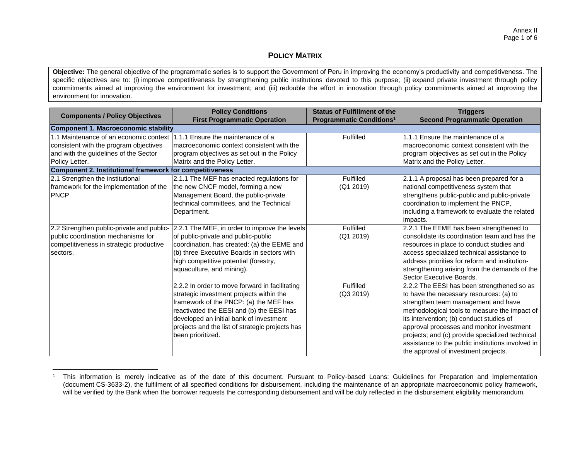### **POLICY MATRIX**

**Objective:** The general objective of the programmatic series is to support the Government of Peru in improving the economy's productivity and competitiveness. The specific objectives are to: (i) improve competitiveness by strengthening public institutions devoted to this purpose; (ii) expand private investment through policy commitments aimed at improving the environment for investment; and (iii) redouble the effort in innovation through policy commitments aimed at improving the environment for innovation.

| <b>Components / Policy Objectives</b>                                                                                                                                                                                                     | <b>Policy Conditions</b><br><b>First Programmatic Operation</b>                                                                                                                                                                                                                                      | <b>Status of Fulfillment of the</b><br><b>Programmatic Conditions<sup>1</sup></b> | <b>Triggers</b><br><b>Second Programmatic Operation</b>                                                                                                                                                                                                                                                                                                                                                                |  |  |  |  |
|-------------------------------------------------------------------------------------------------------------------------------------------------------------------------------------------------------------------------------------------|------------------------------------------------------------------------------------------------------------------------------------------------------------------------------------------------------------------------------------------------------------------------------------------------------|-----------------------------------------------------------------------------------|------------------------------------------------------------------------------------------------------------------------------------------------------------------------------------------------------------------------------------------------------------------------------------------------------------------------------------------------------------------------------------------------------------------------|--|--|--|--|
| Component 1. Macroeconomic stability                                                                                                                                                                                                      |                                                                                                                                                                                                                                                                                                      |                                                                                   |                                                                                                                                                                                                                                                                                                                                                                                                                        |  |  |  |  |
| 1.1 Maintenance of an economic context 1.1.1 Ensure the maintenance of a<br>consistent with the program objectives<br>and with the guidelines of the Sector<br>Policy Letter.<br>Component 2. Institutional framework for competitiveness | Imacroeconomic context consistent with the<br>program objectives as set out in the Policy<br>Matrix and the Policy Letter.                                                                                                                                                                           | Fulfilled                                                                         | 1.1.1 Ensure the maintenance of a<br>macroeconomic context consistent with the<br>program objectives as set out in the Policy<br>Matrix and the Policy Letter.                                                                                                                                                                                                                                                         |  |  |  |  |
| 2.1 Strengthen the institutional                                                                                                                                                                                                          |                                                                                                                                                                                                                                                                                                      | Fulfilled                                                                         |                                                                                                                                                                                                                                                                                                                                                                                                                        |  |  |  |  |
| framework for the implementation of the<br><b>PNCP</b>                                                                                                                                                                                    | 2.1.1 The MEF has enacted regulations for<br>the new CNCF model, forming a new<br>Management Board, the public-private<br>technical committees, and the Technical<br>Department.                                                                                                                     | (Q1 2019)                                                                         | 2.1.1 A proposal has been prepared for a<br>national competitiveness system that<br>strengthens public-public and public-private<br>coordination to implement the PNCP,<br>including a framework to evaluate the related<br>impacts.                                                                                                                                                                                   |  |  |  |  |
| 2.2 Strengthen public-private and public-<br>public coordination mechanisms for<br>competitiveness in strategic productive<br>sectors.                                                                                                    | 2.2.1 The MEF, in order to improve the levels<br>of public-private and public-public<br>coordination, has created: (a) the EEME and<br>(b) three Executive Boards in sectors with<br>high competitive potential (forestry,<br>aquaculture, and mining).                                              | Fulfilled<br>(Q1 2019)                                                            | 2.2.1 The EEME has been strengthened to<br>consolidate its coordination team and has the<br>resources in place to conduct studies and<br>access specialized technical assistance to<br>address priorities for reform and institution-<br>strengthening arising from the demands of the<br>Sector Executive Boards.                                                                                                     |  |  |  |  |
|                                                                                                                                                                                                                                           | 2.2.2 In order to move forward in facilitating<br>strategic investment projects within the<br>framework of the PNCP: (a) the MEF has<br>reactivated the EESI and (b) the EESI has<br>developed an initial bank of investment<br>projects and the list of strategic projects has<br>been prioritized. | Fulfilled<br>(Q3 2019)                                                            | 2.2.2 The EESI has been strengthened so as<br>to have the necessary resources: (a) to<br>strengthen team management and have<br>methodological tools to measure the impact of<br>its intervention; (b) conduct studies of<br>approval processes and monitor investment<br>projects; and (c) provide specialized technical<br>assistance to the public institutions involved in<br>the approval of investment projects. |  |  |  |  |

<sup>&</sup>lt;sup>1</sup> This information is merely indicative as of the date of this document. Pursuant to Policy-based Loans: Guidelines for Preparation and Implementation (document CS-3633-2), the fulfilment of all specified conditions for disbursement, including the maintenance of an appropriate macroeconomic policy framework, will be verified by the Bank when the borrower requests the corresponding disbursement and will be duly reflected in the disbursement eligibility memorandum.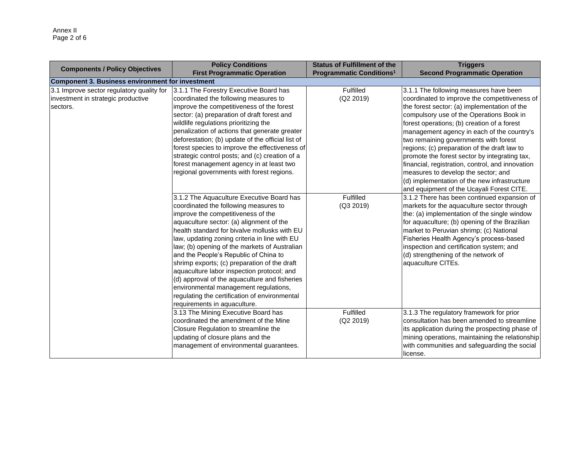| <b>Components / Policy Objectives</b>            | <b>Policy Conditions</b>                          | <b>Status of Fulfillment of the</b>        | <b>Triggers</b>                                  |
|--------------------------------------------------|---------------------------------------------------|--------------------------------------------|--------------------------------------------------|
|                                                  | <b>First Programmatic Operation</b>               | <b>Programmatic Conditions<sup>1</sup></b> | <b>Second Programmatic Operation</b>             |
| Component 3. Business environment for investment |                                                   |                                            |                                                  |
| 3.1 Improve sector regulatory quality for        | 3.1.1 The Forestry Executive Board has            | Fulfilled                                  | 3.1.1 The following measures have been           |
| investment in strategic productive               | coordinated the following measures to             | (Q2 2019)                                  | coordinated to improve the competitiveness of    |
| sectors.                                         | improve the competitiveness of the forest         |                                            | the forest sector: (a) implementation of the     |
|                                                  | sector: (a) preparation of draft forest and       |                                            | compulsory use of the Operations Book in         |
|                                                  | wildlife regulations prioritizing the             |                                            | forest operations; (b) creation of a forest      |
|                                                  | penalization of actions that generate greater     |                                            | management agency in each of the country's       |
|                                                  | deforestation; (b) update of the official list of |                                            | two remaining governments with forest            |
|                                                  | forest species to improve the effectiveness of    |                                            | regions; (c) preparation of the draft law to     |
|                                                  | strategic control posts; and (c) creation of a    |                                            | promote the forest sector by integrating tax,    |
|                                                  | forest management agency in at least two          |                                            | financial, registration, control, and innovation |
|                                                  | regional governments with forest regions.         |                                            | measures to develop the sector; and              |
|                                                  |                                                   |                                            | (d) implementation of the new infrastructure     |
|                                                  |                                                   |                                            | and equipment of the Ucayali Forest CITE.        |
|                                                  | 3.1.2 The Aquaculture Executive Board has         | Fulfilled                                  | 3.1.2 There has been continued expansion of      |
|                                                  | coordinated the following measures to             | (Q3 2019)                                  | markets for the aquaculture sector through       |
|                                                  | improve the competitiveness of the                |                                            | the: (a) implementation of the single window     |
|                                                  | aquaculture sector: (a) alignment of the          |                                            | for aquaculture; (b) opening of the Brazilian    |
|                                                  | health standard for bivalve mollusks with EU      |                                            | market to Peruvian shrimp; (c) National          |
|                                                  | law, updating zoning criteria in line with EU     |                                            | Fisheries Health Agency's process-based          |
|                                                  | law; (b) opening of the markets of Australian     |                                            | inspection and certification system; and         |
|                                                  | and the People's Republic of China to             |                                            | (d) strengthening of the network of              |
|                                                  | shrimp exports; (c) preparation of the draft      |                                            | aquaculture CITEs.                               |
|                                                  | aquaculture labor inspection protocol; and        |                                            |                                                  |
|                                                  | (d) approval of the aquaculture and fisheries     |                                            |                                                  |
|                                                  | environmental management regulations,             |                                            |                                                  |
|                                                  | regulating the certification of environmental     |                                            |                                                  |
|                                                  | requirements in aquaculture.                      |                                            |                                                  |
|                                                  | 3.13 The Mining Executive Board has               | Fulfilled                                  | 3.1.3 The regulatory framework for prior         |
|                                                  | coordinated the amendment of the Mine             | (Q2 2019)                                  | consultation has been amended to streamline      |
|                                                  | Closure Regulation to streamline the              |                                            | its application during the prospecting phase of  |
|                                                  | updating of closure plans and the                 |                                            | mining operations, maintaining the relationship  |
|                                                  | management of environmental guarantees.           |                                            | with communities and safeguarding the social     |
|                                                  |                                                   |                                            | license.                                         |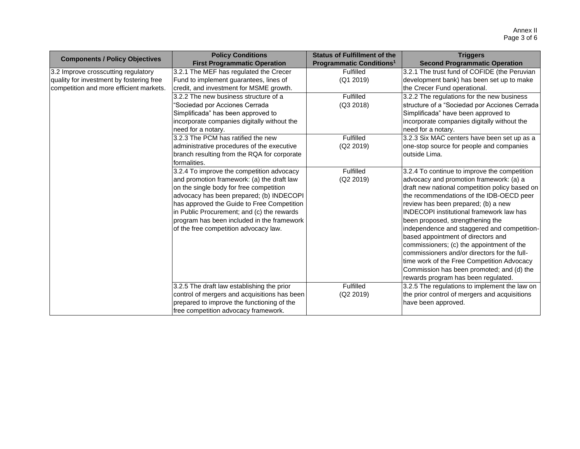|                                          | <b>Policy Conditions</b>                     | <b>Status of Fulfillment of the</b>        | <b>Triggers</b>                                                                   |
|------------------------------------------|----------------------------------------------|--------------------------------------------|-----------------------------------------------------------------------------------|
| <b>Components / Policy Objectives</b>    | <b>First Programmatic Operation</b>          | <b>Programmatic Conditions<sup>1</sup></b> | <b>Second Programmatic Operation</b>                                              |
| 3.2 Improve crosscutting regulatory      | 3.2.1 The MEF has regulated the Crecer       | Fulfilled                                  | 3.2.1 The trust fund of COFIDE (the Peruvian                                      |
| quality for investment by fostering free | Fund to implement guarantees, lines of       | (Q1 2019)                                  | development bank) has been set up to make                                         |
| competition and more efficient markets.  | credit, and investment for MSME growth.      |                                            | the Crecer Fund operational.                                                      |
|                                          | 3.2.2 The new business structure of a        | Fulfilled                                  | 3.2.2 The regulations for the new business                                        |
|                                          | 'Sociedad por Acciones Cerrada               | (Q3 2018)                                  | structure of a "Sociedad por Acciones Cerrada                                     |
|                                          | Simplificada" has been approved to           |                                            | Simplificada" have been approved to                                               |
|                                          | incorporate companies digitally without the  |                                            | incorporate companies digitally without the                                       |
|                                          | need for a notary.                           |                                            | need for a notary.                                                                |
|                                          | 3.2.3 The PCM has ratified the new           | Fulfilled                                  | 3.2.3 Six MAC centers have been set up as a                                       |
|                                          | administrative procedures of the executive   | (Q2 2019)                                  | one-stop source for people and companies                                          |
|                                          | branch resulting from the RQA for corporate  |                                            | outside Lima.                                                                     |
|                                          | formalities.                                 |                                            |                                                                                   |
|                                          | 3.2.4 To improve the competition advocacy    | Fulfilled                                  | 3.2.4 To continue to improve the competition                                      |
|                                          | and promotion framework: (a) the draft law   | (Q2 2019)                                  | advocacy and promotion framework: (a) a                                           |
|                                          | on the single body for free competition      |                                            | draft new national competition policy based on                                    |
|                                          | advocacy has been prepared; (b) INDECOPI     |                                            | the recommendations of the IDB-OECD peer                                          |
|                                          | has approved the Guide to Free Competition   |                                            | review has been prepared; (b) a new                                               |
|                                          | in Public Procurement; and (c) the rewards   |                                            | <b>INDECOPI</b> institutional framework law has                                   |
|                                          | program has been included in the framework   |                                            | been proposed, strengthening the                                                  |
|                                          | of the free competition advocacy law.        |                                            | independence and staggered and competition-<br>based appointment of directors and |
|                                          |                                              |                                            | commissioners; (c) the appointment of the                                         |
|                                          |                                              |                                            | commissioners and/or directors for the full-                                      |
|                                          |                                              |                                            | time work of the Free Competition Advocacy                                        |
|                                          |                                              |                                            | Commission has been promoted; and (d) the                                         |
|                                          |                                              |                                            | rewards program has been regulated.                                               |
|                                          | 3.2.5 The draft law establishing the prior   | Fulfilled                                  | 3.2.5 The regulations to implement the law on                                     |
|                                          | control of mergers and acquisitions has been | (Q2 2019)                                  | the prior control of mergers and acquisitions                                     |
|                                          | prepared to improve the functioning of the   |                                            | have been approved.                                                               |
|                                          | free competition advocacy framework.         |                                            |                                                                                   |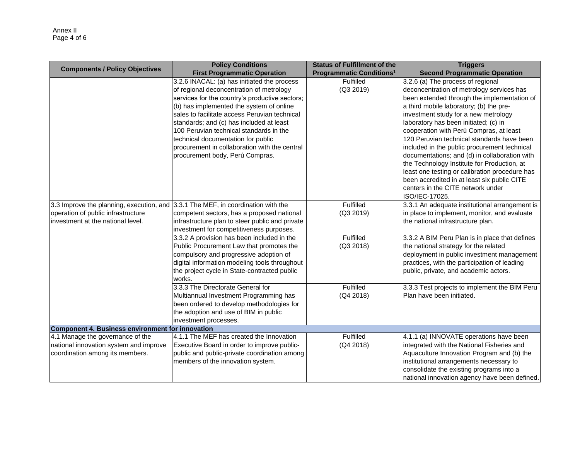| <b>Components / Policy Objectives</b>                                                                         | <b>Policy Conditions</b>                                                                                                                                                                                                                                                                                                                                                                                                                                | <b>Status of Fulfillment of the</b>        | <b>Triggers</b>                                                                                                                                                                                                                                                                                                                                                                                                                                                                                                                                                                                                                          |  |  |  |
|---------------------------------------------------------------------------------------------------------------|---------------------------------------------------------------------------------------------------------------------------------------------------------------------------------------------------------------------------------------------------------------------------------------------------------------------------------------------------------------------------------------------------------------------------------------------------------|--------------------------------------------|------------------------------------------------------------------------------------------------------------------------------------------------------------------------------------------------------------------------------------------------------------------------------------------------------------------------------------------------------------------------------------------------------------------------------------------------------------------------------------------------------------------------------------------------------------------------------------------------------------------------------------------|--|--|--|
|                                                                                                               | <b>First Programmatic Operation</b>                                                                                                                                                                                                                                                                                                                                                                                                                     | <b>Programmatic Conditions<sup>1</sup></b> | <b>Second Programmatic Operation</b>                                                                                                                                                                                                                                                                                                                                                                                                                                                                                                                                                                                                     |  |  |  |
|                                                                                                               | 3.2.6 INACAL: (a) has initiated the process<br>of regional deconcentration of metrology<br>services for the country's productive sectors;<br>(b) has implemented the system of online<br>sales to facilitate access Peruvian technical<br>standards; and (c) has included at least<br>100 Peruvian technical standards in the<br>technical documentation for public<br>procurement in collaboration with the central<br>procurement body, Perú Compras. | Fulfilled<br>(Q3 2019)                     | 3.2.6 (a) The process of regional<br>deconcentration of metrology services has<br>been extended through the implementation of<br>a third mobile laboratory; (b) the pre-<br>investment study for a new metrology<br>laboratory has been initiated; (c) in<br>cooperation with Perú Compras, at least<br>120 Peruvian technical standards have been<br>included in the public procurement technical<br>documentations; and (d) in collaboration with<br>the Technology Institute for Production, at<br>least one testing or calibration procedure has<br>been accredited in at least six public CITE<br>centers in the CITE network under |  |  |  |
| 3.3 Improve the planning, execution, and 3.3.1 The MEF, in coordination with the                              |                                                                                                                                                                                                                                                                                                                                                                                                                                                         | Fulfilled                                  | ISO/IEC-17025.                                                                                                                                                                                                                                                                                                                                                                                                                                                                                                                                                                                                                           |  |  |  |
|                                                                                                               |                                                                                                                                                                                                                                                                                                                                                                                                                                                         |                                            | 3.3.1 An adequate institutional arrangement is                                                                                                                                                                                                                                                                                                                                                                                                                                                                                                                                                                                           |  |  |  |
| operation of public infrastructure<br>investment at the national level.                                       | competent sectors, has a proposed national<br>infrastructure plan to steer public and private<br>investment for competitiveness purposes.                                                                                                                                                                                                                                                                                                               | (Q3 2019)                                  | in place to implement, monitor, and evaluate<br>the national infrastructure plan.                                                                                                                                                                                                                                                                                                                                                                                                                                                                                                                                                        |  |  |  |
|                                                                                                               | 3.3.2 A provision has been included in the<br>Public Procurement Law that promotes the<br>compulsory and progressive adoption of<br>digital information modeling tools throughout<br>the project cycle in State-contracted public<br>works.                                                                                                                                                                                                             | Fulfilled<br>(Q3 2018)                     | 3.3.2 A BIM Peru Plan is in place that defines<br>the national strategy for the related<br>deployment in public investment management<br>practices, with the participation of leading<br>public, private, and academic actors.                                                                                                                                                                                                                                                                                                                                                                                                           |  |  |  |
|                                                                                                               | 3.3.3 The Directorate General for<br>Multiannual Investment Programming has<br>been ordered to develop methodologies for<br>the adoption and use of BIM in public<br>investment processes.                                                                                                                                                                                                                                                              | Fulfilled<br>(Q4 2018)                     | 3.3.3 Test projects to implement the BIM Peru<br>Plan have been initiated.                                                                                                                                                                                                                                                                                                                                                                                                                                                                                                                                                               |  |  |  |
| Component 4. Business environment for innovation                                                              |                                                                                                                                                                                                                                                                                                                                                                                                                                                         |                                            |                                                                                                                                                                                                                                                                                                                                                                                                                                                                                                                                                                                                                                          |  |  |  |
| 4.1 Manage the governance of the<br>national innovation system and improve<br>coordination among its members. | 4.1.1 The MEF has created the Innovation<br>Executive Board in order to improve public-<br>public and public-private coordination among<br>members of the innovation system.                                                                                                                                                                                                                                                                            | Fulfilled<br>(Q4 2018)                     | 4.1.1 (a) INNOVATE operations have been<br>integrated with the National Fisheries and<br>Aquaculture Innovation Program and (b) the<br>institutional arrangements necessary to<br>consolidate the existing programs into a<br>national innovation agency have been defined.                                                                                                                                                                                                                                                                                                                                                              |  |  |  |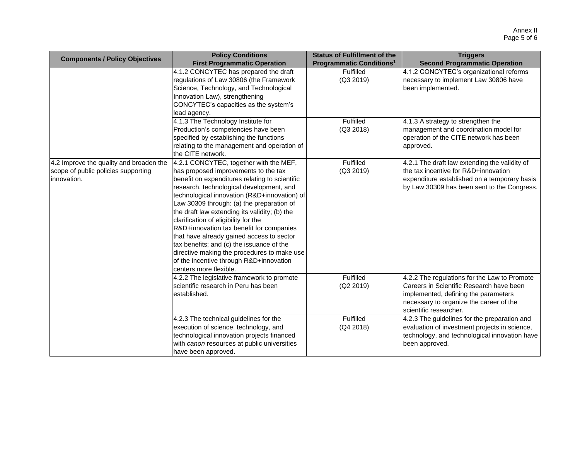| <b>Components / Policy Objectives</b>                                                          | <b>Policy Conditions</b><br><b>First Programmatic Operation</b>                                                                                                                                                                                                                                                                                                                                                                                                                                                                                                                                                              | <b>Status of Fulfillment of the</b><br><b>Programmatic Conditions<sup>1</sup></b> | <b>Triggers</b><br><b>Second Programmatic Operation</b>                                                                                                                                               |
|------------------------------------------------------------------------------------------------|------------------------------------------------------------------------------------------------------------------------------------------------------------------------------------------------------------------------------------------------------------------------------------------------------------------------------------------------------------------------------------------------------------------------------------------------------------------------------------------------------------------------------------------------------------------------------------------------------------------------------|-----------------------------------------------------------------------------------|-------------------------------------------------------------------------------------------------------------------------------------------------------------------------------------------------------|
|                                                                                                | 4.1.2 CONCYTEC has prepared the draft<br>regulations of Law 30806 (the Framework<br>Science, Technology, and Technological<br>Innovation Law), strengthening<br>CONCYTEC's capacities as the system's<br>lead agency.                                                                                                                                                                                                                                                                                                                                                                                                        | Fulfilled<br>(Q3 2019)                                                            | 4.1.2 CONCYTEC's organizational reforms<br>necessary to implement Law 30806 have<br>been implemented.                                                                                                 |
|                                                                                                | 4.1.3 The Technology Institute for<br>Production's competencies have been<br>specified by establishing the functions<br>relating to the management and operation of<br>the CITE network.                                                                                                                                                                                                                                                                                                                                                                                                                                     | Fulfilled<br>(Q3 2018)                                                            | 4.1.3 A strategy to strengthen the<br>management and coordination model for<br>operation of the CITE network has been<br>approved.                                                                    |
| 4.2 Improve the quality and broaden the<br>scope of public policies supporting<br>linnovation. | 4.2.1 CONCYTEC, together with the MEF,<br>has proposed improvements to the tax<br>benefit on expenditures relating to scientific<br>research, technological development, and<br>technological innovation (R&D+innovation) of<br>Law 30309 through: (a) the preparation of<br>the draft law extending its validity; (b) the<br>clarification of eligibility for the<br>R&D+innovation tax benefit for companies<br>that have already gained access to sector<br>tax benefits; and (c) the issuance of the<br>directive making the procedures to make use<br>of the incentive through R&D+innovation<br>centers more flexible. | Fulfilled<br>(Q3 2019)                                                            | 4.2.1 The draft law extending the validity of<br>the tax incentive for R&D+innovation<br>expenditure established on a temporary basis<br>by Law 30309 has been sent to the Congress.                  |
|                                                                                                | 4.2.2 The legislative framework to promote<br>scientific research in Peru has been<br>established.                                                                                                                                                                                                                                                                                                                                                                                                                                                                                                                           | Fulfilled<br>(Q2 2019)                                                            | 4.2.2 The regulations for the Law to Promote<br>Careers in Scientific Research have been<br>implemented, defining the parameters<br>necessary to organize the career of the<br>scientific researcher. |
|                                                                                                | 4.2.3 The technical guidelines for the<br>execution of science, technology, and<br>technological innovation projects financed<br>with canon resources at public universities<br>have been approved.                                                                                                                                                                                                                                                                                                                                                                                                                          | Fulfilled<br>(Q4 2018)                                                            | 4.2.3 The guidelines for the preparation and<br>evaluation of investment projects in science,<br>technology, and technological innovation have<br>been approved.                                      |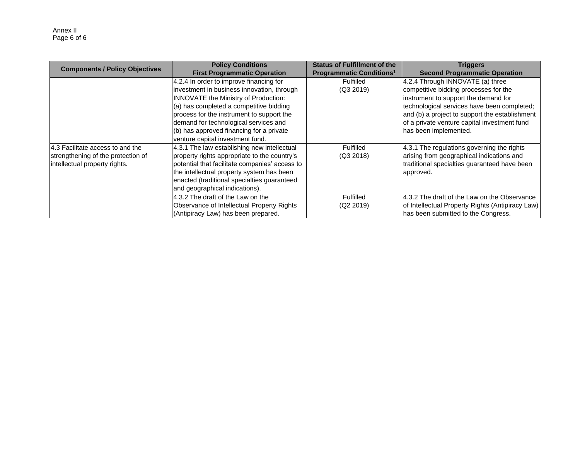| <b>Components / Policy Objectives</b> | <b>Policy Conditions</b>                       | <b>Status of Fulfillment of the</b>        | <b>Triggers</b>                                  |
|---------------------------------------|------------------------------------------------|--------------------------------------------|--------------------------------------------------|
|                                       | <b>First Programmatic Operation</b>            | <b>Programmatic Conditions<sup>1</sup></b> | <b>Second Programmatic Operation</b>             |
|                                       | 4.2.4 In order to improve financing for        | Fulfilled                                  | 4.2.4 Through INNOVATE (a) three                 |
|                                       | investment in business innovation, through     | (Q3 2019)                                  | competitive bidding processes for the            |
|                                       | INNOVATE the Ministry of Production:           |                                            | instrument to support the demand for             |
|                                       | (a) has completed a competitive bidding        |                                            | technological services have been completed;      |
|                                       | process for the instrument to support the      |                                            | and (b) a project to support the establishment   |
|                                       | demand for technological services and          |                                            | of a private venture capital investment fund     |
|                                       | (b) has approved financing for a private       |                                            | has been implemented.                            |
|                                       | venture capital investment fund.               |                                            |                                                  |
| 14.3 Facilitate access to and the     | 4.3.1 The law establishing new intellectual    | Fulfilled                                  | 4.3.1 The regulations governing the rights       |
| strengthening of the protection of    | property rights appropriate to the country's   | (Q3 2018)                                  | arising from geographical indications and        |
| intellectual property rights.         | potential that facilitate companies' access to |                                            | traditional specialties guaranteed have been     |
|                                       | the intellectual property system has been      |                                            | approved.                                        |
|                                       | enacted (traditional specialties guaranteed    |                                            |                                                  |
|                                       | and geographical indications).                 |                                            |                                                  |
|                                       | 4.3.2 The draft of the Law on the              | Fulfilled                                  | 4.3.2 The draft of the Law on the Observance     |
|                                       | Observance of Intellectual Property Rights     | (Q2 2019)                                  | of Intellectual Property Rights (Antipiracy Law) |
|                                       | (Antipiracy Law) has been prepared.            |                                            | has been submitted to the Congress.              |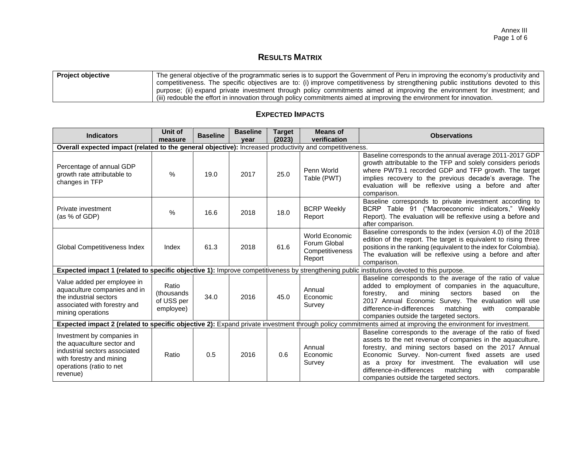# **RESULTS MATRIX**

| <b>Project objective</b> | The general objective of the programmatic series is to support the Government of Peru in improving the economy's productivity and |
|--------------------------|-----------------------------------------------------------------------------------------------------------------------------------|
|                          | competitiveness. The specific objectives are to: (i) improve competitiveness by strengthening public institutions devoted to this |
|                          | purpose; (ii) expand private investment through policy commitments aimed at improving the environment for investment; and         |
|                          | (iii) redouble the effort in innovation through policy commitments aimed at improving the environment for innovation.             |

| <b>Indicators</b>                                                                                                                                             | Unit of<br>measure                             | <b>Baseline</b> | <b>Baseline</b><br>vear | Target<br>(2023) | Means of<br>verification                                    | <b>Observations</b>                                                                                                                                                                                                                                                                                                                                                                                    |
|---------------------------------------------------------------------------------------------------------------------------------------------------------------|------------------------------------------------|-----------------|-------------------------|------------------|-------------------------------------------------------------|--------------------------------------------------------------------------------------------------------------------------------------------------------------------------------------------------------------------------------------------------------------------------------------------------------------------------------------------------------------------------------------------------------|
| Overall expected impact (related to the general objective): Increased productivity and competitiveness.                                                       |                                                |                 |                         |                  |                                                             |                                                                                                                                                                                                                                                                                                                                                                                                        |
| Percentage of annual GDP<br>growth rate attributable to<br>changes in TFP                                                                                     | $\%$                                           | 19.0            | 2017                    | 25.0             | Penn World<br>Table (PWT)                                   | Baseline corresponds to the annual average 2011-2017 GDP<br>growth attributable to the TFP and solely considers periods<br>where PWT9.1 recorded GDP and TFP growth. The target<br>implies recovery to the previous decade's average. The<br>evaluation will be reflexive using a before and after<br>comparison.                                                                                      |
| Private investment<br>(as % of GDP)                                                                                                                           | $\%$                                           | 16.6            | 2018                    | 18.0             | <b>BCRP Weekly</b><br>Report                                | Baseline corresponds to private investment according to<br>BCRP Table 91 ("Macroeconomic indicators," Weekly<br>Report). The evaluation will be reflexive using a before and<br>after comparison.                                                                                                                                                                                                      |
| <b>Global Competitiveness Index</b>                                                                                                                           | Index                                          | 61.3            | 2018                    | 61.6             | World Economic<br>Forum Global<br>Competitiveness<br>Report | Baseline corresponds to the index (version 4.0) of the 2018<br>edition of the report. The target is equivalent to rising three<br>positions in the ranking (equivalent to the index for Colombia).<br>The evaluation will be reflexive using a before and after<br>comparison.                                                                                                                         |
|                                                                                                                                                               |                                                |                 |                         |                  |                                                             | Expected impact 1 (related to specific objective 1): Improve competitiveness by strengthening public institutions devoted to this purpose.                                                                                                                                                                                                                                                             |
| Value added per employee in<br>aquaculture companies and in<br>the industrial sectors<br>associated with forestry and<br>mining operations                    | Ratio<br>(thousands<br>of USS per<br>employee) | 34.0            | 2016                    | 45.0             | Annual<br>Economic<br>Survey                                | Baseline corresponds to the average of the ratio of value<br>added to employment of companies in the aquaculture,<br>mining<br>based<br>the<br>forestry,<br>and<br>sectors<br>on<br>2017 Annual Economic Survey. The evaluation will use<br>difference-in-differences<br>matching<br>with<br>comparable<br>companies outside the targeted sectors.                                                     |
|                                                                                                                                                               |                                                |                 |                         |                  |                                                             | Expected impact 2 (related to specific objective 2): Expand private investment through policy commitments aimed at improving the environment for investment.                                                                                                                                                                                                                                           |
| Investment by companies in<br>the aquaculture sector and<br>industrial sectors associated<br>with forestry and mining<br>operations (ratio to net<br>revenue) | Ratio                                          | 0.5             | 2016                    | 0.6              | Annual<br>Economic<br>Survey                                | Baseline corresponds to the average of the ratio of fixed<br>assets to the net revenue of companies in the aquaculture,<br>forestry, and mining sectors based on the 2017 Annual<br>Economic Survey. Non-current fixed assets are used<br>as a proxy for investment. The evaluation will use<br>difference-in-differences<br>matching<br>with<br>comparable<br>companies outside the targeted sectors. |

## **EXPECTED IMPACTS**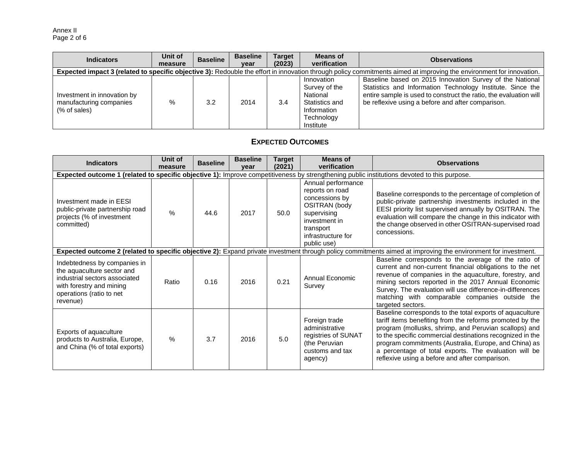Annex II Page 2 of 6

| <b>Indicators</b>                                                                                                                                                    | Unit of<br>measure | <b>Baseline</b> | <b>Baseline</b><br>year | <b>Target</b><br>(2023) | <b>Means of</b><br>verification                                                                     | <b>Observations</b>                                                                                                                                                                                                                              |  |  |
|----------------------------------------------------------------------------------------------------------------------------------------------------------------------|--------------------|-----------------|-------------------------|-------------------------|-----------------------------------------------------------------------------------------------------|--------------------------------------------------------------------------------------------------------------------------------------------------------------------------------------------------------------------------------------------------|--|--|
| Expected impact 3 (related to specific objective 3): Redouble the effort in innovation through policy commitments aimed at improving the environment for innovation. |                    |                 |                         |                         |                                                                                                     |                                                                                                                                                                                                                                                  |  |  |
| Investment in innovation by<br>manufacturing companies<br>(% of sales)                                                                                               | %                  | 3.2             | 2014                    | 3.4                     | Innovation<br>Survey of the<br>National<br>Statistics and<br>Information<br>Technology<br>Institute | Baseline based on 2015 Innovation Survey of the National<br>Statistics and Information Technology Institute. Since the<br>entire sample is used to construct the ratio, the evaluation will<br>be reflexive using a before and after comparison. |  |  |

# **EXPECTED OUTCOMES**

| <b>Indicators</b>                                                                                                                                               | Unit of<br>measure | <b>Baseline</b> | <b>Baseline</b><br>vear | <b>Target</b><br>(2021) | <b>Means of</b><br>verification                                                                                                                                   | <b>Observations</b>                                                                                                                                                                                                                                                                                                                                                                                            |
|-----------------------------------------------------------------------------------------------------------------------------------------------------------------|--------------------|-----------------|-------------------------|-------------------------|-------------------------------------------------------------------------------------------------------------------------------------------------------------------|----------------------------------------------------------------------------------------------------------------------------------------------------------------------------------------------------------------------------------------------------------------------------------------------------------------------------------------------------------------------------------------------------------------|
|                                                                                                                                                                 |                    |                 |                         |                         |                                                                                                                                                                   | Expected outcome 1 (related to specific objective 1): Improve competitiveness by strengthening public institutions devoted to this purpose.                                                                                                                                                                                                                                                                    |
| Investment made in EESI<br>public-private partnership road<br>projects (% of investment<br>committed)                                                           | $\frac{0}{0}$      | 44.6            | 2017                    | 50.0                    | Annual performance<br>reports on road<br>concessions by<br><b>OSITRAN</b> (body<br>supervising<br>investment in<br>transport<br>infrastructure for<br>public use) | Baseline corresponds to the percentage of completion of<br>public-private partnership investments included in the<br>EESI priority list supervised annually by OSITRAN. The<br>evaluation will compare the change in this indicator with<br>the change observed in other OSITRAN-supervised road<br>concessions.                                                                                               |
|                                                                                                                                                                 |                    |                 |                         |                         |                                                                                                                                                                   | Expected outcome 2 (related to specific objective 2): Expand private investment through policy commitments aimed at improving the environment for investment.                                                                                                                                                                                                                                                  |
| Indebtedness by companies in<br>the aquaculture sector and<br>industrial sectors associated<br>with forestry and mining<br>operations (ratio to net<br>revenue) | Ratio              | 0.16            | 2016                    | 0.21                    | Annual Economic<br>Survey                                                                                                                                         | Baseline corresponds to the average of the ratio of<br>current and non-current financial obligations to the net<br>revenue of companies in the aquaculture, forestry, and<br>mining sectors reported in the 2017 Annual Economic<br>Survey. The evaluation will use difference-in-differences<br>matching with comparable companies outside the<br>targeted sectors.                                           |
| Exports of aquaculture<br>products to Australia, Europe,<br>and China (% of total exports)                                                                      | $\%$               | 3.7             | 2016                    | 5.0                     | Foreign trade<br>administrative<br>registries of SUNAT<br>(the Peruvian<br>customs and tax<br>agency)                                                             | Baseline corresponds to the total exports of aquaculture<br>tariff items benefiting from the reforms promoted by the<br>program (mollusks, shrimp, and Peruvian scallops) and<br>to the specific commercial destinations recognized in the<br>program commitments (Australia, Europe, and China) as<br>a percentage of total exports. The evaluation will be<br>reflexive using a before and after comparison. |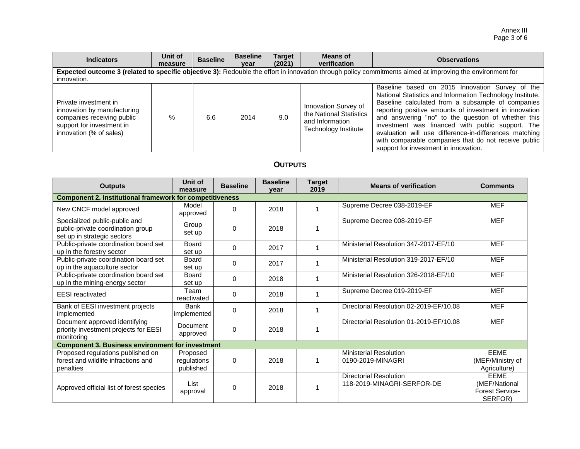Annex III Page 3 of 6

| <b>Indicators</b>                                                                                                                                                        | Unit of<br>measure | <b>Baseline</b> | <b>Baseline</b><br>year | <b>Target</b><br>(2021) | Means of<br>verification                                                                   | <b>Observations</b>                                                                                                                                                                                                                                                                                                                                                                                                                                                                              |  |  |  |
|--------------------------------------------------------------------------------------------------------------------------------------------------------------------------|--------------------|-----------------|-------------------------|-------------------------|--------------------------------------------------------------------------------------------|--------------------------------------------------------------------------------------------------------------------------------------------------------------------------------------------------------------------------------------------------------------------------------------------------------------------------------------------------------------------------------------------------------------------------------------------------------------------------------------------------|--|--|--|
| Expected outcome 3 (related to specific objective 3): Redouble the effort in innovation through policy commitments aimed at improving the environment for<br>innovation. |                    |                 |                         |                         |                                                                                            |                                                                                                                                                                                                                                                                                                                                                                                                                                                                                                  |  |  |  |
| Private investment in<br>innovation by manufacturing<br>companies receiving public<br>support for investment in<br>innovation (% of sales)                               | %                  | 6.6             | 2014                    | 9.0                     | Innovation Survey of<br>the National Statistics<br>and Information<br>Technology Institute | Baseline based on 2015 Innovation Survey of the<br>National Statistics and Information Technology Institute.<br>Baseline calculated from a subsample of companies<br>reporting positive amounts of investment in innovation<br>and answering "no" to the question of whether this<br>investment was financed with public support. The<br>evaluation will use difference-in-differences matching<br>with comparable companies that do not receive public<br>support for investment in innovation. |  |  |  |

# **OUTPUTS**

| <b>Outputs</b>                                                                                    | Unit of<br>measure                   | <b>Baseline</b> | <b>Baseline</b><br>vear | <b>Target</b><br>2019 | <b>Means of verification</b>                                | <b>Comments</b>                                                   |  |  |  |  |
|---------------------------------------------------------------------------------------------------|--------------------------------------|-----------------|-------------------------|-----------------------|-------------------------------------------------------------|-------------------------------------------------------------------|--|--|--|--|
| <b>Component 2. Institutional framework for competitiveness</b>                                   |                                      |                 |                         |                       |                                                             |                                                                   |  |  |  |  |
| New CNCF model approved                                                                           | Model<br>approved                    | $\mathbf 0$     | 2018                    |                       | Supreme Decree 038-2019-EF                                  | <b>MEF</b>                                                        |  |  |  |  |
| Specialized public-public and<br>public-private coordination group<br>set up in strategic sectors | Group<br>set up                      | 0               | 2018                    |                       | Supreme Decree 008-2019-EF                                  | <b>MEF</b>                                                        |  |  |  |  |
| Public-private coordination board set<br>up in the forestry sector                                | <b>Board</b><br>set up               | $\mathbf 0$     | 2017                    |                       | Ministerial Resolution 347-2017-EF/10                       | <b>MEF</b>                                                        |  |  |  |  |
| Public-private coordination board set<br>up in the aquaculture sector                             | <b>Board</b><br>set up               | 0               | 2017                    |                       | Ministerial Resolution 319-2017-EF/10                       | <b>MEF</b>                                                        |  |  |  |  |
| Public-private coordination board set<br>up in the mining-energy sector                           | <b>Board</b><br>set up               | 0               | 2018                    |                       | Ministerial Resolution 326-2018-EF/10                       | <b>MEF</b>                                                        |  |  |  |  |
| <b>EESI</b> reactivated                                                                           | Team<br>reactivated                  | 0               | 2018                    |                       | Supreme Decree 019-2019-EF                                  | <b>MEF</b>                                                        |  |  |  |  |
| Bank of EESI investment projects<br>implemented                                                   | <b>Bank</b><br>implemented           | 0               | 2018                    |                       | Directorial Resolution 02-2019-EF/10.08                     | <b>MEF</b>                                                        |  |  |  |  |
| Document approved identifying<br>priority investment projects for EESI<br>monitoring              | Document<br>approved                 | $\mathbf 0$     | 2018                    |                       | Directorial Resolution 01-2019-EF/10.08                     | <b>MEF</b>                                                        |  |  |  |  |
| <b>Component 3. Business environment for investment</b>                                           |                                      |                 |                         |                       |                                                             |                                                                   |  |  |  |  |
| Proposed regulations published on<br>forest and wildlife infractions and<br>penalties             | Proposed<br>regulations<br>published | 0               | 2018                    |                       | <b>Ministerial Resolution</b><br>0190-2019-MINAGRI          | <b>EEME</b><br>(MEF/Ministry of<br>Agriculture)                   |  |  |  |  |
| Approved official list of forest species                                                          | List<br>approval                     | 0               | 2018                    |                       | <b>Directorial Resolution</b><br>118-2019-MINAGRI-SERFOR-DE | <b>EEME</b><br>(MEF/National<br><b>Forest Service-</b><br>SERFOR) |  |  |  |  |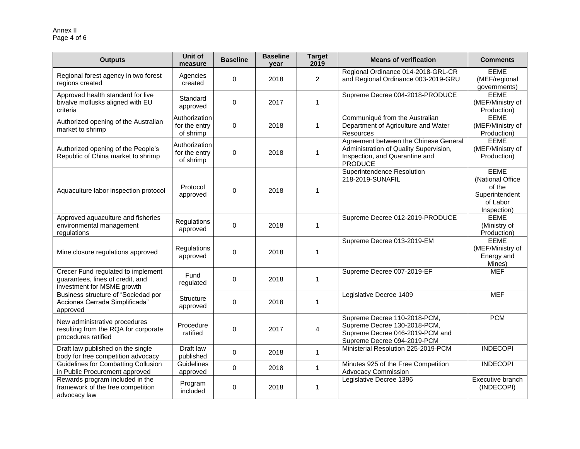#### Annex II Page 4 of 6

| <b>Outputs</b>                                                                                       | Unit of<br>measure                          | <b>Baseline</b> | <b>Baseline</b><br>vear | <b>Target</b><br>2019 | <b>Means of verification</b>                                                                                                        | <b>Comments</b>                                                                        |
|------------------------------------------------------------------------------------------------------|---------------------------------------------|-----------------|-------------------------|-----------------------|-------------------------------------------------------------------------------------------------------------------------------------|----------------------------------------------------------------------------------------|
| Regional forest agency in two forest<br>regions created                                              | Agencies<br>created                         | 0               | 2018                    | $\overline{2}$        | Regional Ordinance 014-2018-GRL-CR<br>and Regional Ordinance 003-2019-GRU                                                           | <b>EEME</b><br>(MEF/regional<br>governments)                                           |
| Approved health standard for live<br>bivalve mollusks aligned with EU<br>criteria                    | Standard<br>approved                        | $\mathbf 0$     | 2017                    | $\mathbf{1}$          | Supreme Decree 004-2018-PRODUCE                                                                                                     | <b>EEME</b><br>(MEF/Ministry of<br>Production)                                         |
| Authorized opening of the Australian<br>market to shrimp                                             | Authorization<br>for the entry<br>of shrimp | 0               | 2018                    | 1                     | Communiqué from the Australian<br>Department of Agriculture and Water<br>Resources                                                  | <b>EEME</b><br>(MEF/Ministry of<br>Production)                                         |
| Authorized opening of the People's<br>Republic of China market to shrimp                             | Authorization<br>for the entry<br>of shrimp | 0               | 2018                    | 1                     | Agreement between the Chinese General<br>Administration of Quality Supervision,<br>Inspection, and Quarantine and<br><b>PRODUCE</b> | <b>EEME</b><br>(MEF/Ministry of<br>Production)                                         |
| Aquaculture labor inspection protocol                                                                | Protocol<br>approved                        | 0               | 2018                    | 1                     | <b>Superintendence Resolution</b><br>218-2019-SUNAFIL                                                                               | <b>EEME</b><br>(National Office<br>of the<br>Superintendent<br>of Labor<br>Inspection) |
| Approved aquaculture and fisheries<br>environmental management<br>regulations                        | Regulations<br>approved                     | 0               | 2018                    | 1                     | Supreme Decree 012-2019-PRODUCE                                                                                                     | <b>EEME</b><br>(Ministry of<br>Production)                                             |
| Mine closure regulations approved                                                                    | Regulations<br>approved                     | 0               | 2018                    | 1                     | Supreme Decree 013-2019-EM                                                                                                          | <b>EEME</b><br>(MEF/Ministry of<br>Energy and<br>Mines)                                |
| Crecer Fund regulated to implement<br>guarantees, lines of credit, and<br>investment for MSME growth | Fund<br>regulated                           | 0               | 2018                    | 1                     | Supreme Decree 007-2019-EF                                                                                                          | <b>MEF</b>                                                                             |
| Business structure of "Sociedad por<br>Acciones Cerrada Simplificada"<br>approved                    | Structure<br>approved                       | 0               | 2018                    | $\mathbf{1}$          | Legislative Decree 1409                                                                                                             | <b>MEF</b>                                                                             |
| New administrative procedures<br>resulting from the RQA for corporate<br>procedures ratified         | Procedure<br>ratified                       | 0               | 2017                    | 4                     | Supreme Decree 110-2018-PCM,<br>Supreme Decree 130-2018-PCM,<br>Supreme Decree 046-2019-PCM and<br>Supreme Decree 094-2019-PCM      | <b>PCM</b>                                                                             |
| Draft law published on the single<br>body for free competition advocacy                              | Draft law<br>published                      | $\Omega$        | 2018                    | $\mathbf{1}$          | Ministerial Resolution 225-2019-PCM                                                                                                 | <b>INDECOPI</b>                                                                        |
| <b>Guidelines for Combatting Collusion</b><br>in Public Procurement approved                         | Guidelines<br>approved                      | 0               | 2018                    | $\mathbf{1}$          | Minutes 925 of the Free Competition<br><b>Advocacy Commission</b>                                                                   | <b>INDECOPI</b>                                                                        |
| Rewards program included in the<br>framework of the free competition<br>advocacy law                 | Program<br>included                         | 0               | 2018                    | 1                     | Legislative Decree 1396                                                                                                             | Executive branch<br>(INDECOPI)                                                         |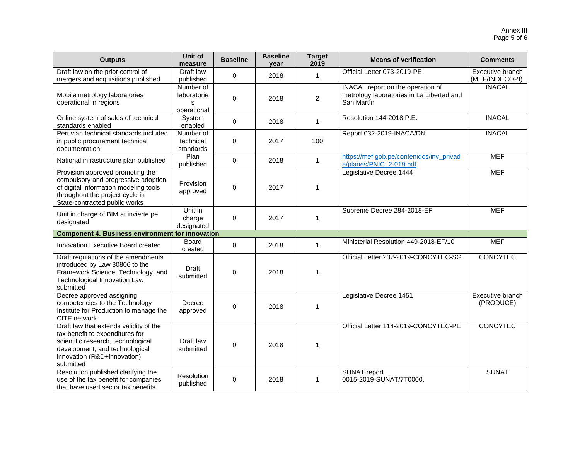| <b>Outputs</b>                                                                                                                                                                                | <b>Unit of</b><br>measure                    | <b>Baseline</b> | <b>Baseline</b><br>year | <b>Target</b><br>2019 | <b>Means of verification</b>                                                                 | <b>Comments</b>                    |
|-----------------------------------------------------------------------------------------------------------------------------------------------------------------------------------------------|----------------------------------------------|-----------------|-------------------------|-----------------------|----------------------------------------------------------------------------------------------|------------------------------------|
| Draft law on the prior control of<br>mergers and acquisitions published                                                                                                                       | Draft law<br>published                       | $\Omega$        | 2018                    | $\mathbf{1}$          | Official Letter 073-2019-PE                                                                  | Executive branch<br>(MEF/INDECOPI) |
| Mobile metrology laboratories<br>operational in regions                                                                                                                                       | Number of<br>laboratorie<br>s<br>operational | $\mathbf 0$     | 2018                    | $\overline{2}$        | INACAL report on the operation of<br>metrology laboratories in La Libertad and<br>San Martín | <b>INACAL</b>                      |
| Online system of sales of technical<br>standards enabled                                                                                                                                      | System<br>enabled                            | $\mathbf 0$     | 2018                    | $\mathbf{1}$          | Resolution 144-2018 P.E.                                                                     | <b>INACAL</b>                      |
| Peruvian technical standards included<br>in public procurement technical<br>documentation                                                                                                     | Number of<br>technical<br>standards          | 0               | 2017                    | 100                   | Report 032-2019-INACA/DN                                                                     | <b>INACAL</b>                      |
| National infrastructure plan published                                                                                                                                                        | Plan<br>published                            | $\mathbf 0$     | 2018                    | $\mathbf{1}$          | https://mef.gob.pe/contenidos/inv_privad<br>a/planes/PNIC_2-019.pdf                          | <b>MEF</b>                         |
| Provision approved promoting the<br>compulsory and progressive adoption<br>of digital information modeling tools<br>throughout the project cycle in<br>State-contracted public works          | Provision<br>approved                        | $\mathbf 0$     | 2017                    | $\mathbf{1}$          | Legislative Decree 1444                                                                      | <b>MEF</b>                         |
| Unit in charge of BIM at invierte.pe<br>designated                                                                                                                                            | Unit in<br>charge<br>designated              | $\mathbf 0$     | 2017                    | $\mathbf{1}$          | Supreme Decree 284-2018-EF                                                                   | <b>MEF</b>                         |
| <b>Component 4. Business environment for innovation</b>                                                                                                                                       |                                              |                 |                         |                       |                                                                                              |                                    |
| Innovation Executive Board created                                                                                                                                                            | Board<br>created                             | $\mathbf 0$     | 2018                    | $\mathbf{1}$          | Ministerial Resolution 449-2018-EF/10                                                        | <b>MEF</b>                         |
| Draft regulations of the amendments<br>introduced by Law 30806 to the<br>Framework Science, Technology, and<br>Technological Innovation Law<br>submitted                                      | Draft<br>submitted                           | 0               | 2018                    | $\mathbf{1}$          | Official Letter 232-2019-CONCYTEC-SG                                                         | <b>CONCYTEC</b>                    |
| Decree approved assigning<br>competencies to the Technology<br>Institute for Production to manage the<br>CITE network.                                                                        | Decree<br>approved                           | $\mathbf 0$     | 2018                    | $\mathbf{1}$          | Legislative Decree 1451                                                                      | Executive branch<br>(PRODUCE)      |
| Draft law that extends validity of the<br>tax benefit to expenditures for<br>scientific research, technological<br>development, and technological<br>innovation (R&D+innovation)<br>submitted | Draft law<br>submitted                       | 0               | 2018                    | $\mathbf{1}$          | Official Letter 114-2019-CONCYTEC-PE                                                         | <b>CONCYTEC</b>                    |
| Resolution published clarifying the<br>use of the tax benefit for companies<br>that have used sector tax benefits                                                                             | Resolution<br>published                      | $\Omega$        | 2018                    | 1                     | <b>SUNAT report</b><br>0015-2019-SUNAT/7T0000.                                               | <b>SUNAT</b>                       |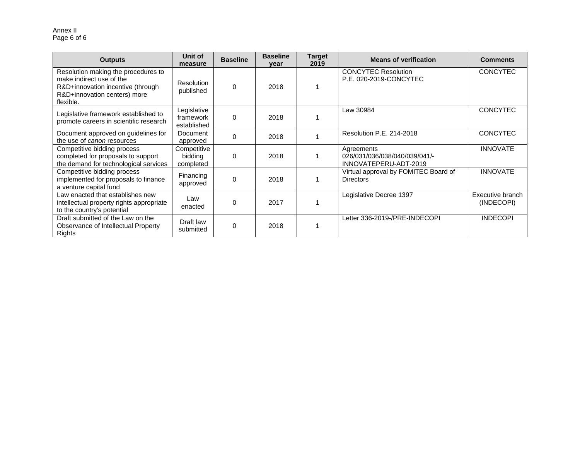#### Annex II Page 6 of 6

| <b>Outputs</b>                                                                                                                                    | Unit of<br>measure                      | <b>Baseline</b> | <b>Baseline</b><br>vear | <b>Target</b><br>2019 | <b>Means of verification</b>                                         | <b>Comments</b>                |
|---------------------------------------------------------------------------------------------------------------------------------------------------|-----------------------------------------|-----------------|-------------------------|-----------------------|----------------------------------------------------------------------|--------------------------------|
| Resolution making the procedures to<br>make indirect use of the<br>R&D+innovation incentive (through<br>R&D+innovation centers) more<br>flexible. | <b>Resolution</b><br>published          | $\Omega$        | 2018                    |                       | <b>CONCYTEC Resolution</b><br>P.E. 020-2019-CONCYTEC                 | <b>CONCYTEC</b>                |
| Legislative framework established to<br>promote careers in scientific research                                                                    | Legislative<br>framework<br>established | $\Omega$        | 2018                    |                       | Law 30984                                                            | <b>CONCYTEC</b>                |
| Document approved on guidelines for<br>the use of <i>canon</i> resources                                                                          | <b>Document</b><br>approved             | 0               | 2018                    |                       | Resolution P.E. 214-2018                                             | <b>CONCYTEC</b>                |
| Competitive bidding process<br>completed for proposals to support<br>the demand for technological services                                        | Competitive<br>bidding<br>completed     | $\Omega$        | 2018                    |                       | Agreements<br>026/031/036/038/040/039/041/-<br>INNOVATEPERU-ADT-2019 | <b>INNOVATE</b>                |
| Competitive bidding process<br>implemented for proposals to finance<br>a venture capital fund                                                     | Financing<br>approved                   | 0               | 2018                    |                       | Virtual approval by FOMITEC Board of<br><b>Directors</b>             | <b>INNOVATE</b>                |
| Law enacted that establishes new<br>intellectual property rights appropriate<br>to the country's potential                                        | Law<br>enacted                          | $\Omega$        | 2017                    |                       | Legislative Decree 1397                                              | Executive branch<br>(INDECOPI) |
| Draft submitted of the Law on the<br>Observance of Intellectual Property<br>Rights                                                                | Draft law<br>submitted                  | 0               | 2018                    |                       | Letter 336-2019-/PRE-INDECOPI                                        | <b>INDECOPI</b>                |